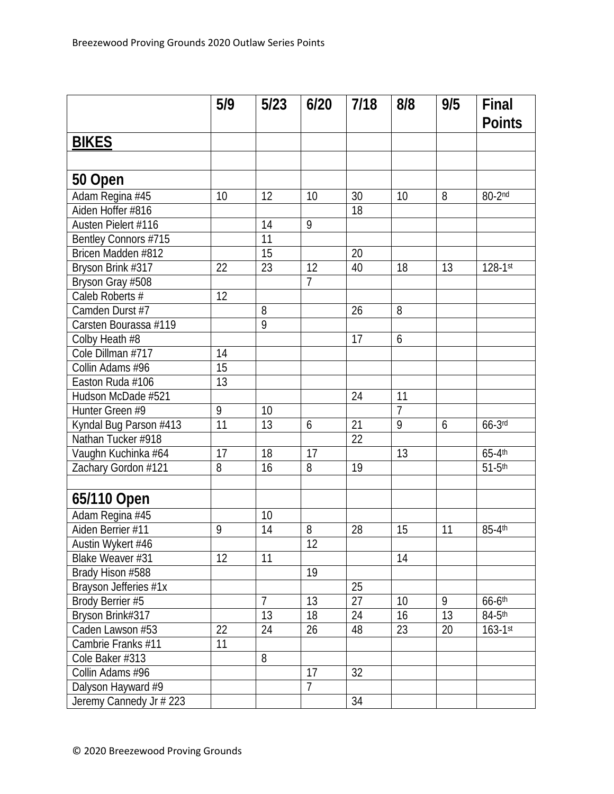|                         | 5/9            | $5/23$         | 6/20            | 7/18 | 8/8            | 9/5 | Final<br><b>Points</b> |
|-------------------------|----------------|----------------|-----------------|------|----------------|-----|------------------------|
| <b>BIKES</b>            |                |                |                 |      |                |     |                        |
|                         |                |                |                 |      |                |     |                        |
|                         |                |                |                 |      |                |     |                        |
| 50 Open                 |                |                |                 |      |                |     |                        |
| Adam Regina #45         | 10             | 12             | 10              | 30   | 10             | 8   | 80-2nd                 |
| Aiden Hoffer #816       |                |                |                 | 18   |                |     |                        |
| Austen Pielert #116     |                | 14             | 9               |      |                |     |                        |
| Bentley Connors #715    |                | 11             |                 |      |                |     |                        |
| Bricen Madden #812      |                | 15             |                 | 20   |                |     |                        |
| Bryson Brink #317       | 22             | 23             | 12              | 40   | 18             | 13  | $128 - 1$ st           |
| Bryson Gray #508        |                |                | $\overline{7}$  |      |                |     |                        |
| Caleb Roberts #         | 12             |                |                 |      |                |     |                        |
| Camden Durst #7         |                | 8              |                 | 26   | 8              |     |                        |
| Carsten Bourassa #119   |                | 9              |                 |      |                |     |                        |
| Colby Heath #8          |                |                |                 | 17   | 6              |     |                        |
| Cole Dillman #717       | 14             |                |                 |      |                |     |                        |
| Collin Adams #96        | 15             |                |                 |      |                |     |                        |
| Easton Ruda #106        | 13             |                |                 |      |                |     |                        |
| Hudson McDade #521      |                |                |                 | 24   | 11             |     |                        |
| Hunter Green #9         | $\overline{9}$ | 10             |                 |      | $\overline{7}$ |     |                        |
| Kyndal Bug Parson #413  | 11             | 13             | 6               | 21   | $\overline{9}$ | 6   | $66-3$ rd              |
| Nathan Tucker #918      |                |                |                 | 22   |                |     |                        |
| Vaughn Kuchinka #64     | 17             | 18             | 17              |      | 13             |     | $65-4$ th              |
| Zachary Gordon #121     | 8              | 16             | 8               | 19   |                |     | $51-5$ th              |
|                         |                |                |                 |      |                |     |                        |
| 65/110 Open             |                |                |                 |      |                |     |                        |
| Adam Regina #45         |                | 10             |                 |      |                |     |                        |
| Aiden Berrier #11       | 9              | 14             | 8               | 28   | 15             | 11  | 85-4th                 |
| Austin Wykert #46       |                |                | $\overline{12}$ |      |                |     |                        |
| Blake Weaver #31        | 12             | 11             |                 |      | 14             |     |                        |
| Brady Hison #588        |                |                | 19              |      |                |     |                        |
| Brayson Jefferies #1x   |                |                |                 | 25   |                |     |                        |
| Brody Berrier #5        |                | $\overline{7}$ | 13              | 27   | 10             | 9   | $66 - 6$ th            |
| Bryson Brink#317        |                | 13             | 18              | 24   | 16             | 13  | $84-5$ <sup>th</sup>   |
| Caden Lawson #53        | 22             | 24             | 26              | 48   | 23             | 20  | $163 - 1$ st           |
| Cambrie Franks #11      | 11             |                |                 |      |                |     |                        |
| Cole Baker #313         |                | 8              |                 |      |                |     |                        |
| Collin Adams #96        |                |                | 17              | 32   |                |     |                        |
| Dalyson Hayward #9      |                |                | $\overline{7}$  |      |                |     |                        |
| Jeremy Cannedy Jr # 223 |                |                |                 | 34   |                |     |                        |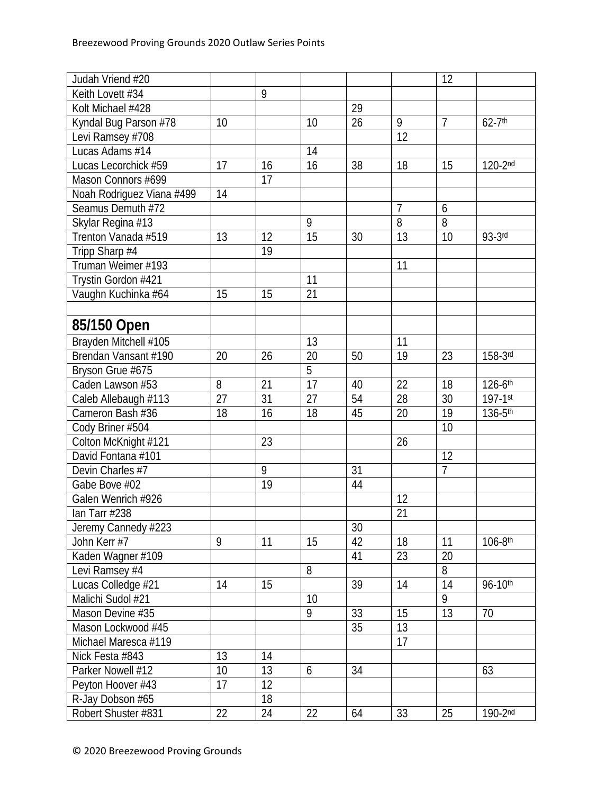| Judah Vriend #20          |    |    |                 |    |                 | 12             |                         |
|---------------------------|----|----|-----------------|----|-----------------|----------------|-------------------------|
| Keith Lovett #34          |    | 9  |                 |    |                 |                |                         |
| Kolt Michael #428         |    |    |                 | 29 |                 |                |                         |
| Kyndal Bug Parson #78     | 10 |    | 10              | 26 | 9               | $\overline{7}$ | $62 - 7$ <sup>th</sup>  |
| Levi Ramsey #708          |    |    |                 |    | $\overline{12}$ |                |                         |
| Lucas Adams #14           |    |    | 14              |    |                 |                |                         |
| Lucas Lecorchick #59      | 17 | 16 | 16              | 38 | 18              | 15             | $120-2nd$               |
| Mason Connors #699        |    | 17 |                 |    |                 |                |                         |
| Noah Rodriguez Viana #499 | 14 |    |                 |    |                 |                |                         |
| Seamus Demuth #72         |    |    |                 |    | $\overline{7}$  | 6              |                         |
| Skylar Regina #13         |    |    | 9               |    | $\overline{8}$  | 8              |                         |
| Trenton Vanada #519       | 13 | 12 | 15              | 30 | 13              | 10             | 93-3rd                  |
| Tripp Sharp #4            |    | 19 |                 |    |                 |                |                         |
| Truman Weimer #193        |    |    |                 |    | 11              |                |                         |
| Trystin Gordon #421       |    |    | 11              |    |                 |                |                         |
| Vaughn Kuchinka #64       | 15 | 15 | 21              |    |                 |                |                         |
|                           |    |    |                 |    |                 |                |                         |
| 85/150 Open               |    |    |                 |    |                 |                |                         |
| Brayden Mitchell #105     |    |    | 13              |    | 11              |                |                         |
| Brendan Vansant #190      | 20 | 26 | 20              | 50 | 19              | 23             | 158-3rd                 |
| Bryson Grue #675          |    |    | 5               |    |                 |                |                         |
| Caden Lawson #53          | 8  | 21 | 17              | 40 | 22              | 18             | $126 - 6$ <sup>th</sup> |
| Caleb Allebaugh #113      | 27 | 31 | 27              | 54 | 28              | 30             | 197-1st                 |
| Cameron Bash #36          | 18 | 16 | 18              | 45 | 20              | 19             | 136-5th                 |
| Cody Briner #504          |    |    |                 |    |                 | 10             |                         |
| Colton McKnight #121      |    | 23 |                 |    | 26              |                |                         |
| David Fontana #101        |    |    |                 |    |                 | 12             |                         |
| Devin Charles #7          |    | 9  |                 | 31 |                 | 7              |                         |
| Gabe Bove #02             |    | 19 |                 | 44 |                 |                |                         |
| Galen Wenrich #926        |    |    |                 |    | 12              |                |                         |
| lan Tarr #238             |    |    |                 |    | 21              |                |                         |
| Jeremy Cannedy #223       |    |    |                 | 30 |                 |                |                         |
| John Kerr #7              | 9  | 11 | 15              | 42 | 18              | 11             | $106 - 8$ <sup>th</sup> |
| Kaden Wagner #109         |    |    |                 | 41 | 23              | 20             |                         |
| Levi Ramsey #4            |    |    | 8               |    |                 | 8              |                         |
| Lucas Colledge #21        | 14 | 15 |                 | 39 | 14              | 14             | $96 - 10$ th            |
| Malichi Sudol #21         |    |    | 10 <sup>°</sup> |    |                 | 9              |                         |
| Mason Devine #35          |    |    | 9               | 33 | 15              | 13             | 70                      |
| Mason Lockwood #45        |    |    |                 | 35 | 13              |                |                         |
| Michael Maresca #119      |    |    |                 |    | 17              |                |                         |
| Nick Festa #843           | 13 | 14 |                 |    |                 |                |                         |
| Parker Nowell #12         | 10 | 13 | 6               | 34 |                 |                | 63                      |
| Peyton Hoover #43         | 17 | 12 |                 |    |                 |                |                         |
| R-Jay Dobson #65          |    | 18 |                 |    |                 |                |                         |
| Robert Shuster #831       | 22 | 24 | 22              | 64 | 33              | 25             | 190-2nd                 |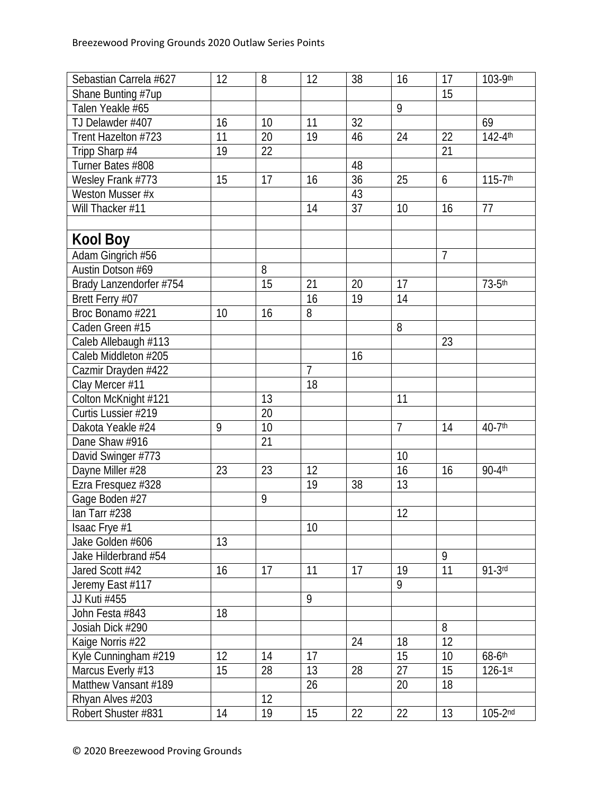| Sebastian Carrela #627  | 12 | 8  | 12             | 38 | 16              | 17             | 103-9th                 |
|-------------------------|----|----|----------------|----|-----------------|----------------|-------------------------|
| Shane Bunting #7up      |    |    |                |    |                 | 15             |                         |
| Talen Yeakle #65        |    |    |                |    | 9               |                |                         |
| TJ Delawder #407        | 16 | 10 | 11             | 32 |                 |                | 69                      |
| Trent Hazelton #723     | 11 | 20 | 19             | 46 | 24              | 22             | $142 - 4$ <sup>th</sup> |
| Tripp Sharp #4          | 19 | 22 |                |    |                 | 21             |                         |
| Turner Bates #808       |    |    |                | 48 |                 |                |                         |
| Wesley Frank #773       | 15 | 17 | 16             | 36 | 25              | 6              | $115 - 7$ <sup>th</sup> |
| Weston Musser #x        |    |    |                | 43 |                 |                |                         |
| Will Thacker #11        |    |    | 14             | 37 | 10              | 16             | 77                      |
|                         |    |    |                |    |                 |                |                         |
| Kool Boy                |    |    |                |    |                 |                |                         |
| Adam Gingrich #56       |    |    |                |    |                 | $\overline{7}$ |                         |
| Austin Dotson #69       |    | 8  |                |    |                 |                |                         |
| Brady Lanzendorfer #754 |    | 15 | 21             | 20 | 17              |                | 73-5th                  |
| Brett Ferry #07         |    |    | 16             | 19 | $\overline{14}$ |                |                         |
| Broc Bonamo #221        | 10 | 16 | 8              |    |                 |                |                         |
| Caden Green #15         |    |    |                |    | 8               |                |                         |
| Caleb Allebaugh #113    |    |    |                |    |                 | 23             |                         |
| Caleb Middleton #205    |    |    |                | 16 |                 |                |                         |
| Cazmir Drayden #422     |    |    | $\overline{7}$ |    |                 |                |                         |
| Clay Mercer #11         |    |    | 18             |    |                 |                |                         |
| Colton McKnight #121    |    | 13 |                |    | 11              |                |                         |
| Curtis Lussier #219     |    | 20 |                |    |                 |                |                         |
| Dakota Yeakle #24       | 9  | 10 |                |    | $\overline{7}$  | 14             | $40 - 7$ <sup>th</sup>  |
| Dane Shaw #916          |    | 21 |                |    |                 |                |                         |
| David Swinger #773      |    |    |                |    | 10              |                |                         |
| Dayne Miller #28        | 23 | 23 | 12             |    | $\overline{16}$ | 16             | 90-4th                  |
| Ezra Fresquez #328      |    |    | 19             | 38 | 13              |                |                         |
| Gage Boden #27          |    | 9  |                |    |                 |                |                         |
| lan Tarr #238           |    |    |                |    | 12              |                |                         |
| Isaac Frye #1           |    |    | 10             |    |                 |                |                         |
| Jake Golden #606        | 13 |    |                |    |                 |                |                         |
| Jake Hilderbrand #54    |    |    |                |    |                 | 9              |                         |
| Jared Scott #42         | 16 | 17 | 11             | 17 | 19              | 11             | $91-3$ rd               |
| Jeremy East #117        |    |    |                |    | $\overline{9}$  |                |                         |
| JJ Kuti #455            |    |    | 9              |    |                 |                |                         |
| John Festa #843         | 18 |    |                |    |                 |                |                         |
| Josiah Dick #290        |    |    |                |    |                 | 8              |                         |
| Kaige Norris #22        |    |    |                | 24 | 18              | 12             |                         |
| Kyle Cunningham #219    | 12 | 14 | 17             |    | 15              | 10             | $68 - 6$ <sup>th</sup>  |
| Marcus Everly #13       | 15 | 28 | 13             | 28 | 27              | 15             | $126 - 1$ st            |
| Matthew Vansant #189    |    |    | 26             |    | 20              | 18             |                         |
| Rhyan Alves #203        |    | 12 |                |    |                 |                |                         |
| Robert Shuster #831     | 14 | 19 | 15             | 22 | 22              | 13             | $105-2nd$               |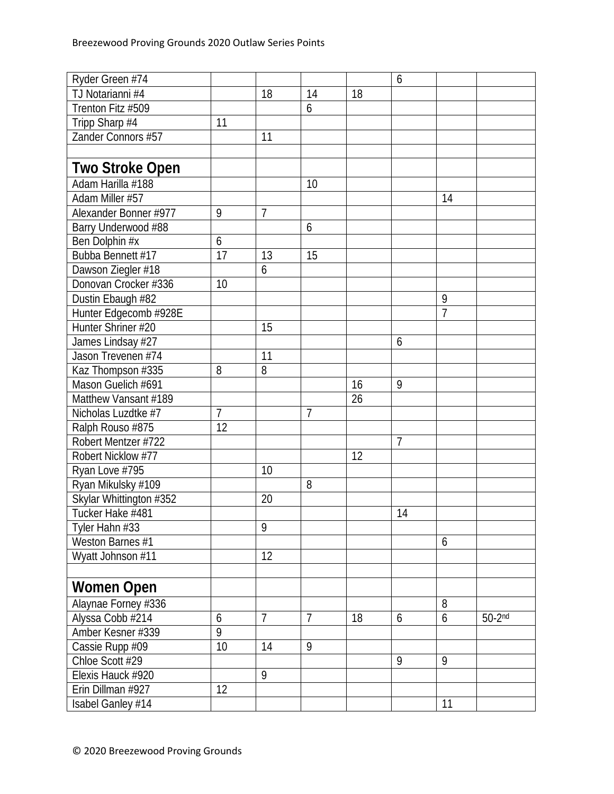| Ryder Green #74         |                |                |                |    | 6              |                |          |
|-------------------------|----------------|----------------|----------------|----|----------------|----------------|----------|
| TJ Notarianni #4        |                | 18             | 14             | 18 |                |                |          |
| Trenton Fitz #509       |                |                | 6              |    |                |                |          |
| Tripp Sharp #4          | 11             |                |                |    |                |                |          |
| Zander Connors #57      |                | 11             |                |    |                |                |          |
|                         |                |                |                |    |                |                |          |
| <b>Two Stroke Open</b>  |                |                |                |    |                |                |          |
| Adam Harilla #188       |                |                | 10             |    |                |                |          |
| Adam Miller #57         |                |                |                |    |                | 14             |          |
| Alexander Bonner #977   | 9              | $\overline{7}$ |                |    |                |                |          |
| Barry Underwood #88     |                |                | 6              |    |                |                |          |
| Ben Dolphin #x          | 6              |                |                |    |                |                |          |
| Bubba Bennett #17       | 17             | 13             | 15             |    |                |                |          |
| Dawson Ziegler #18      |                | 6              |                |    |                |                |          |
| Donovan Crocker #336    | 10             |                |                |    |                |                |          |
| Dustin Ebaugh #82       |                |                |                |    |                | 9              |          |
| Hunter Edgecomb #928E   |                |                |                |    |                | $\overline{1}$ |          |
| Hunter Shriner #20      |                | 15             |                |    |                |                |          |
| James Lindsay #27       |                |                |                |    | 6              |                |          |
| Jason Trevenen #74      |                | 11             |                |    |                |                |          |
| Kaz Thompson #335       | 8              | 8              |                |    |                |                |          |
| Mason Guelich #691      |                |                |                | 16 | 9              |                |          |
| Matthew Vansant #189    |                |                |                | 26 |                |                |          |
| Nicholas Luzdtke #7     | 7              |                | $\overline{1}$ |    |                |                |          |
| Ralph Rouso #875        | 12             |                |                |    |                |                |          |
| Robert Mentzer #722     |                |                |                |    | $\overline{7}$ |                |          |
| Robert Nicklow #77      |                |                |                | 12 |                |                |          |
| Ryan Love #795          |                | 10             |                |    |                |                |          |
| Ryan Mikulsky #109      |                |                | 8              |    |                |                |          |
| Skylar Whittington #352 |                | 20             |                |    |                |                |          |
| Tucker Hake #481        |                |                |                |    | 14             |                |          |
| Tyler Hahn #33          |                | 9              |                |    |                |                |          |
| Weston Barnes #1        |                |                |                |    |                | 6              |          |
| Wyatt Johnson #11       |                | 12             |                |    |                |                |          |
|                         |                |                |                |    |                |                |          |
| <b>Women Open</b>       |                |                |                |    |                |                |          |
| Alaynae Forney #336     |                |                |                |    |                | 8              |          |
| Alyssa Cobb #214        | 6              | $\overline{7}$ | $\overline{7}$ | 18 | 6              | 6              | $50-2nd$ |
| Amber Kesner #339       | $\overline{9}$ |                |                |    |                |                |          |
| Cassie Rupp #09         | 10             | 14             | 9              |    |                |                |          |
| Chloe Scott #29         |                |                |                |    | 9              | 9              |          |
| Elexis Hauck #920       |                | 9              |                |    |                |                |          |
| Erin Dillman #927       | 12             |                |                |    |                |                |          |
| Isabel Ganley #14       |                |                |                |    |                | 11             |          |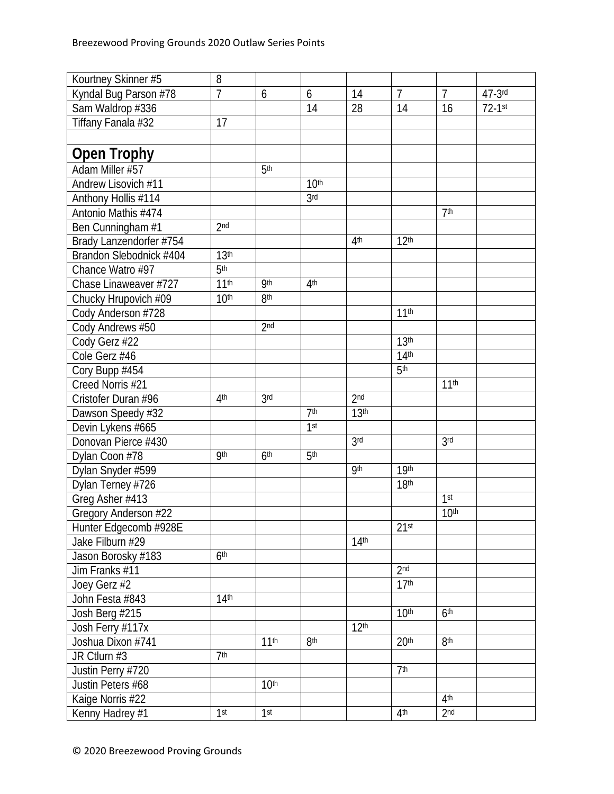| Kourtney Skinner #5     | 8                |                  |                   |                  |                  |                  |             |
|-------------------------|------------------|------------------|-------------------|------------------|------------------|------------------|-------------|
| Kyndal Bug Parson #78   | 7                | 6                | 6                 | 14               | $\overline{7}$   | $\overline{7}$   | $47 - 3$ rd |
| Sam Waldrop #336        |                  |                  | 14                | 28               | 14               | 16               | $72-1$ st   |
| Tiffany Fanala #32      | 17               |                  |                   |                  |                  |                  |             |
|                         |                  |                  |                   |                  |                  |                  |             |
| <b>Open Trophy</b>      |                  |                  |                   |                  |                  |                  |             |
| Adam Miller #57         |                  | 5 <sup>th</sup>  |                   |                  |                  |                  |             |
| Andrew Lisovich #11     |                  |                  | 10 <sup>th</sup>  |                  |                  |                  |             |
| Anthony Hollis #114     |                  |                  | 3 <sub>rd</sub>   |                  |                  |                  |             |
| Antonio Mathis #474     |                  |                  |                   |                  |                  | 7 <sup>th</sup>  |             |
| Ben Cunningham #1       | 2 <sub>nd</sub>  |                  |                   |                  |                  |                  |             |
| Brady Lanzendorfer #754 |                  |                  |                   | 4 <sup>th</sup>  | 12 <sup>th</sup> |                  |             |
| Brandon Slebodnick #404 | 13 <sup>th</sup> |                  |                   |                  |                  |                  |             |
| Chance Watro #97        | 5 <sup>th</sup>  |                  |                   |                  |                  |                  |             |
| Chase Linaweaver #727   | 11 <sup>th</sup> | <b>9th</b>       | 4 <sup>th</sup>   |                  |                  |                  |             |
| Chucky Hrupovich #09    | 10 <sup>th</sup> | 8 <sup>th</sup>  |                   |                  |                  |                  |             |
| Cody Anderson #728      |                  |                  |                   |                  | 11 <sup>th</sup> |                  |             |
| Cody Andrews #50        |                  | 2 <sub>nd</sub>  |                   |                  |                  |                  |             |
| Cody Gerz #22           |                  |                  |                   |                  | 13 <sup>th</sup> |                  |             |
| Cole Gerz #46           |                  |                  |                   |                  | 14 <sup>th</sup> |                  |             |
| Cory Bupp #454          |                  |                  |                   |                  | 5 <sup>th</sup>  |                  |             |
| Creed Norris #21        |                  |                  |                   |                  |                  | 11 <sup>th</sup> |             |
| Cristofer Duran #96     | 4 <sup>th</sup>  | 3 <sub>rd</sub>  |                   | 2 <sub>nd</sub>  |                  |                  |             |
| Dawson Speedy #32       |                  |                  | 7 <sup>th</sup>   | 13 <sup>th</sup> |                  |                  |             |
| Devin Lykens #665       |                  |                  | $\overline{1}$ st |                  |                  |                  |             |
| Donovan Pierce #430     |                  |                  |                   | 3 <sup>rd</sup>  |                  | 3 <sub>rd</sub>  |             |
| Dylan Coon #78          | <b>9th</b>       | 6 <sup>th</sup>  | 5 <sup>th</sup>   |                  |                  |                  |             |
| Dylan Snyder #599       |                  |                  |                   | <b>9th</b>       | 19 <sup>th</sup> |                  |             |
| Dylan Terney #726       |                  |                  |                   |                  | 18 <sup>th</sup> |                  |             |
| Greg Asher #413         |                  |                  |                   |                  |                  | 1 <sup>st</sup>  |             |
| Gregory Anderson #22    |                  |                  |                   |                  |                  | 10 <sup>th</sup> |             |
| Hunter Edgecomb #928E   |                  |                  |                   |                  | 21 <sup>st</sup> |                  |             |
| Jake Filburn #29        |                  |                  |                   | 14 <sup>th</sup> |                  |                  |             |
| Jason Borosky #183      | 6 <sup>th</sup>  |                  |                   |                  |                  |                  |             |
| Jim Franks #11          |                  |                  |                   |                  | 2 <sub>nd</sub>  |                  |             |
| Joey Gerz #2            |                  |                  |                   |                  | 17 <sup>th</sup> |                  |             |
| John Festa #843         | 14 <sup>th</sup> |                  |                   |                  |                  |                  |             |
| Josh Berg #215          |                  |                  |                   |                  | 10 <sup>th</sup> | 6 <sup>th</sup>  |             |
| Josh Ferry #117x        |                  |                  |                   | 12 <sup>th</sup> |                  |                  |             |
| Joshua Dixon #741       |                  | 11 <sup>th</sup> | 8 <sup>th</sup>   |                  | 20 <sup>th</sup> | 8 <sup>th</sup>  |             |
| JR Ctlurn #3            | 7 <sup>th</sup>  |                  |                   |                  |                  |                  |             |
| Justin Perry #720       |                  |                  |                   |                  | 7 <sup>th</sup>  |                  |             |
| Justin Peters #68       |                  | 10 <sup>th</sup> |                   |                  |                  |                  |             |
| Kaige Norris #22        |                  |                  |                   |                  |                  | 4 <sup>th</sup>  |             |
| Kenny Hadrey #1         | 1 <sup>st</sup>  | 1 <sup>st</sup>  |                   |                  | 4 <sup>th</sup>  | 2 <sub>nd</sub>  |             |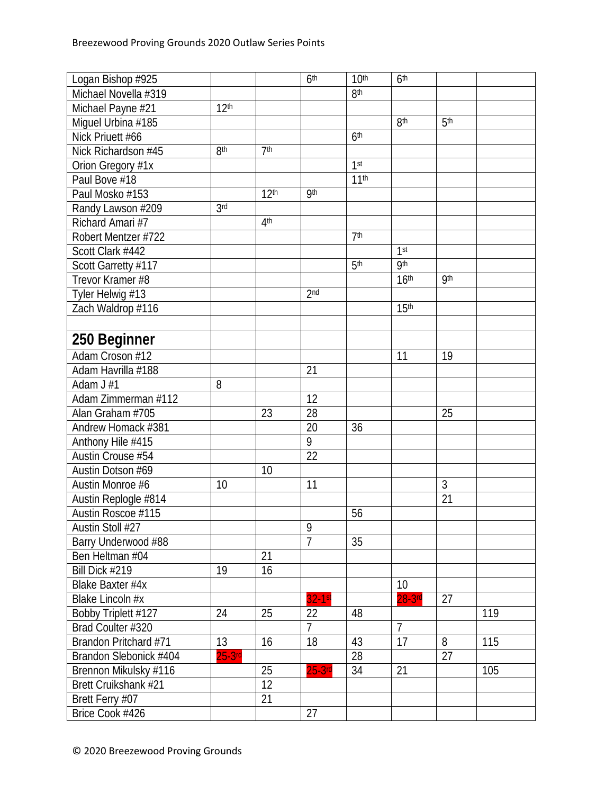| Logan Bishop #925      |                  |                  | 6 <sup>th</sup> | 10 <sup>th</sup> | 6 <sup>th</sup>  |                 |     |
|------------------------|------------------|------------------|-----------------|------------------|------------------|-----------------|-----|
| Michael Novella #319   |                  |                  |                 | 8 <sup>th</sup>  |                  |                 |     |
| Michael Payne #21      | 12 <sup>th</sup> |                  |                 |                  |                  |                 |     |
| Miguel Urbina #185     |                  |                  |                 |                  | 8 <sup>th</sup>  | 5 <sup>th</sup> |     |
| Nick Priuett #66       |                  |                  |                 | 6 <sup>th</sup>  |                  |                 |     |
| Nick Richardson #45    | 8 <sup>th</sup>  | 7 <sup>th</sup>  |                 |                  |                  |                 |     |
| Orion Gregory #1x      |                  |                  |                 | 1 <sup>st</sup>  |                  |                 |     |
| Paul Bove #18          |                  |                  |                 | 11 <sup>th</sup> |                  |                 |     |
| Paul Mosko #153        |                  | 12 <sup>th</sup> | <b>9th</b>      |                  |                  |                 |     |
| Randy Lawson #209      | 3 <sub>rd</sub>  |                  |                 |                  |                  |                 |     |
| Richard Amari #7       |                  | 4 <sup>th</sup>  |                 |                  |                  |                 |     |
| Robert Mentzer #722    |                  |                  |                 | 7 <sup>th</sup>  |                  |                 |     |
| Scott Clark #442       |                  |                  |                 |                  | 1 <sup>st</sup>  |                 |     |
| Scott Garretty #117    |                  |                  |                 | 5 <sup>th</sup>  | <b>gth</b>       |                 |     |
| Trevor Kramer #8       |                  |                  |                 |                  | 16 <sup>th</sup> | <b>9th</b>      |     |
| Tyler Helwig #13       |                  |                  | 2 <sub>nd</sub> |                  |                  |                 |     |
| Zach Waldrop #116      |                  |                  |                 |                  | 15 <sup>th</sup> |                 |     |
|                        |                  |                  |                 |                  |                  |                 |     |
| 250 Beginner           |                  |                  |                 |                  |                  |                 |     |
| Adam Croson #12        |                  |                  |                 |                  | 11               | 19              |     |
| Adam Havrilla #188     |                  |                  | 21              |                  |                  |                 |     |
| Adam J #1              | 8                |                  |                 |                  |                  |                 |     |
| Adam Zimmerman #112    |                  |                  | 12              |                  |                  |                 |     |
| Alan Graham #705       |                  | 23               | 28              |                  |                  | 25              |     |
| Andrew Homack #381     |                  |                  | 20              | 36               |                  |                 |     |
| Anthony Hile #415      |                  |                  | 9               |                  |                  |                 |     |
| Austin Crouse #54      |                  |                  | 22              |                  |                  |                 |     |
| Austin Dotson #69      |                  | 10               |                 |                  |                  |                 |     |
| Austin Monroe #6       | 10               |                  | 11              |                  |                  | 3               |     |
| Austin Replogle #814   |                  |                  |                 |                  |                  | 21              |     |
| Austin Roscoe #115     |                  |                  |                 | 56               |                  |                 |     |
| Austin Stoll #27       |                  |                  | 9               |                  |                  |                 |     |
| Barry Underwood #88    |                  |                  | $\overline{7}$  | 35               |                  |                 |     |
| Ben Heltman #04        |                  | 21               |                 |                  |                  |                 |     |
| Bill Dick #219         | $\overline{19}$  | 16               |                 |                  |                  |                 |     |
| Blake Baxter #4x       |                  |                  |                 |                  | 10               |                 |     |
| Blake Lincoln #x       |                  |                  | 32-1st          |                  | $28-3rd$         | 27              |     |
| Bobby Triplett #127    | 24               | 25               | 22              | 48               |                  |                 | 119 |
| Brad Coulter #320      |                  |                  | $\overline{7}$  |                  | $\overline{7}$   |                 |     |
| Brandon Pritchard #71  | 13               | 16               | 18              | 43               | 17               | 8               | 115 |
| Brandon Slebonick #404 | $25-3rd$         |                  |                 | 28               |                  | 27              |     |
| Brennon Mikulsky #116  |                  | 25               | $25-3$ rd       | 34               | 21               |                 | 105 |
| Brett Cruikshank #21   |                  | 12               |                 |                  |                  |                 |     |
| Brett Ferry #07        |                  | $\overline{21}$  |                 |                  |                  |                 |     |
| Brice Cook #426        |                  |                  | 27              |                  |                  |                 |     |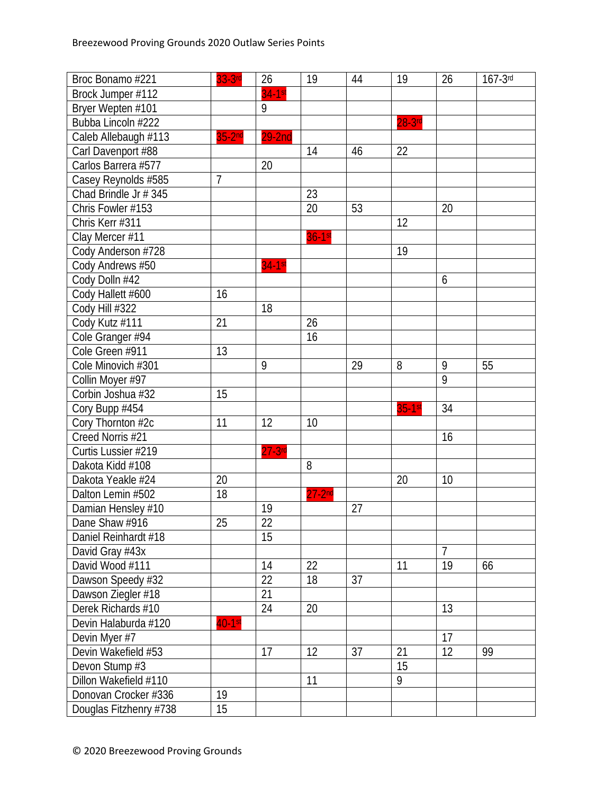| Broc Bonamo #221       | $33-3rd$       | 26        | 19         | 44 | 19        | 26              | $167-3$ rd |
|------------------------|----------------|-----------|------------|----|-----------|-----------------|------------|
| Brock Jumper #112      |                | 34-1st    |            |    |           |                 |            |
| Bryer Wepten #101      |                | 9         |            |    |           |                 |            |
| Bubba Lincoln #222     |                |           |            |    | $28-3$ rd |                 |            |
| Caleb Allebaugh #113   | $35-2nd$       | $29-2nd$  |            |    |           |                 |            |
| Carl Davenport #88     |                |           | 14         | 46 | 22        |                 |            |
| Carlos Barrera #577    |                | 20        |            |    |           |                 |            |
| Casey Reynolds #585    | $\overline{7}$ |           |            |    |           |                 |            |
| Chad Brindle Jr # 345  |                |           | 23         |    |           |                 |            |
| Chris Fowler #153      |                |           | 20         | 53 |           | 20              |            |
| Chris Kerr #311        |                |           |            |    | 12        |                 |            |
| Clay Mercer #11        |                |           | $36-1st$   |    |           |                 |            |
| Cody Anderson #728     |                |           |            |    | 19        |                 |            |
| Cody Andrews #50       |                | $34-1st$  |            |    |           |                 |            |
| Cody Dolln #42         |                |           |            |    |           | 6               |            |
| Cody Hallett #600      | 16             |           |            |    |           |                 |            |
| Cody Hill #322         |                | 18        |            |    |           |                 |            |
| Cody Kutz #111         | 21             |           | 26         |    |           |                 |            |
| Cole Granger #94       |                |           | 16         |    |           |                 |            |
| Cole Green #911        | 13             |           |            |    |           |                 |            |
| Cole Minovich #301     |                | 9         |            | 29 | 8         | 9               | 55         |
| Collin Moyer #97       |                |           |            |    |           | 9               |            |
| Corbin Joshua #32      | 15             |           |            |    |           |                 |            |
| Cory Bupp #454         |                |           |            |    | $35-1st$  | 34              |            |
| Cory Thornton #2c      | 11             | 12        | 10         |    |           |                 |            |
| Creed Norris #21       |                |           |            |    |           | 16              |            |
| Curtis Lussier #219    |                | $27-3$ rd |            |    |           |                 |            |
| Dakota Kidd #108       |                |           | 8          |    |           |                 |            |
| Dakota Yeakle #24      | 20             |           |            |    | 20        | 10              |            |
| Dalton Lemin #502      | 18             |           | $27 - 2nd$ |    |           |                 |            |
| Damian Hensley #10     |                | 19        |            | 27 |           |                 |            |
| Dane Shaw #916         | 25             | 22        |            |    |           |                 |            |
| Daniel Reinhardt #18   |                | 15        |            |    |           |                 |            |
| David Gray #43x        |                |           |            |    |           | $\overline{7}$  |            |
| David Wood #111        |                | 14        | 22         |    | 11        | 19              | 66         |
| Dawson Speedy #32      |                | 22        | 18         | 37 |           |                 |            |
| Dawson Ziegler #18     |                | 21        |            |    |           |                 |            |
| Derek Richards #10     |                | 24        | 20         |    |           | $\overline{13}$ |            |
| Devin Halaburda #120   | $40-1$ st      |           |            |    |           |                 |            |
| Devin Myer #7          |                |           |            |    |           | 17              |            |
| Devin Wakefield #53    |                | 17        | 12         | 37 | 21        | 12              | 99         |
| Devon Stump #3         |                |           |            |    | 15        |                 |            |
| Dillon Wakefield #110  |                |           | 11         |    | 9         |                 |            |
| Donovan Crocker #336   | 19             |           |            |    |           |                 |            |
| Douglas Fitzhenry #738 | 15             |           |            |    |           |                 |            |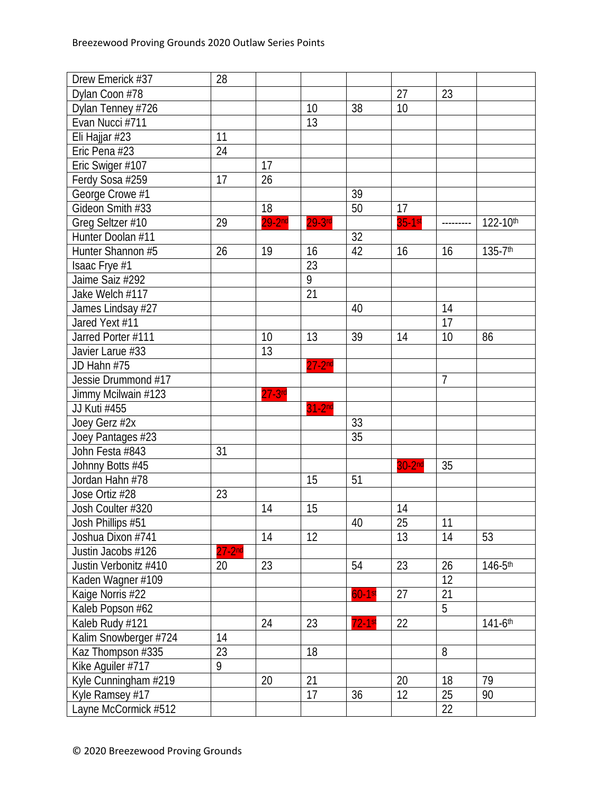| Dylan Coon #78<br>27<br>23<br>38<br>10<br>10<br>Dylan Tenney #726<br>Evan Nucci #711<br>13<br>Eli Hajjar #23<br>11 |
|--------------------------------------------------------------------------------------------------------------------|
|                                                                                                                    |
|                                                                                                                    |
|                                                                                                                    |
|                                                                                                                    |
| Eric Pena #23<br>24                                                                                                |
| Eric Swiger #107<br>17                                                                                             |
| 26<br>17<br>Ferdy Sosa #259                                                                                        |
| George Crowe #1<br>39                                                                                              |
| Gideon Smith #33<br>18<br>50<br>17                                                                                 |
| $35-1$ st<br>$29-2nd$<br>29<br>$29-3$ rd<br>122-10th<br>Greg Seltzer #10                                           |
| 32<br>Hunter Doolan #11                                                                                            |
| Hunter Shannon #5<br>42<br>135-7th<br>26<br>19<br>16<br>16<br>16                                                   |
| 23<br>Isaac Frye #1                                                                                                |
| 9<br>Jaime Saiz #292                                                                                               |
| $\overline{21}$<br>Jake Welch #117                                                                                 |
| 14<br>James Lindsay #27<br>40                                                                                      |
| Jared Yext #11<br>17                                                                                               |
| 13<br>39<br>Jarred Porter #111<br>10<br>14<br>10<br>86                                                             |
| 13<br>Javier Larue #33                                                                                             |
| $27 - 2nd$<br>JD Hahn #75                                                                                          |
| 7<br>Jessie Drummond #17                                                                                           |
| Jimmy Mcilwain #123<br>$27-3$ rd                                                                                   |
| JJ Kuti #455<br>$31-2nd$                                                                                           |
| Joey Gerz #2x<br>33                                                                                                |
| 35<br>Joey Pantages #23                                                                                            |
| John Festa #843<br>31                                                                                              |
| 35<br>Johnny Botts #45<br>$30-2nd$                                                                                 |
| 51<br>Jordan Hahn #78<br>15                                                                                        |
| Jose Ortiz #28<br>23                                                                                               |
| Josh Coulter #320<br>14<br>15<br>14                                                                                |
| 25<br>Josh Phillips #51<br>40<br>11                                                                                |
| 13<br>14<br>Joshua Dixon #741<br>14<br>12<br>53                                                                    |
| $27 - 2nd$<br>Justin Jacobs #126                                                                                   |
| 23<br>23<br>26<br>Justin Verbonitz #410<br>54<br>$146 - 5$ th<br>20                                                |
| Kaden Wagner #109<br>12                                                                                            |
| Kaige Norris #22<br>$60-1$ st<br>27<br>21                                                                          |
| $\overline{5}$<br>Kaleb Popson #62                                                                                 |
| Kaleb Rudy #121<br>22<br>$141 - 6$ <sup>th</sup><br>23<br>$72-1$ st<br>24                                          |
| 14<br>Kalim Snowberger #724                                                                                        |
| Kaz Thompson #335<br>18<br>8<br>23                                                                                 |
| Kike Aguiler #717<br>9                                                                                             |
| Kyle Cunningham #219<br>21<br>20<br>20<br>18<br>79                                                                 |
| 17<br>12<br>Kyle Ramsey #17<br>25<br>90<br>36                                                                      |
| Layne McCormick #512<br>22                                                                                         |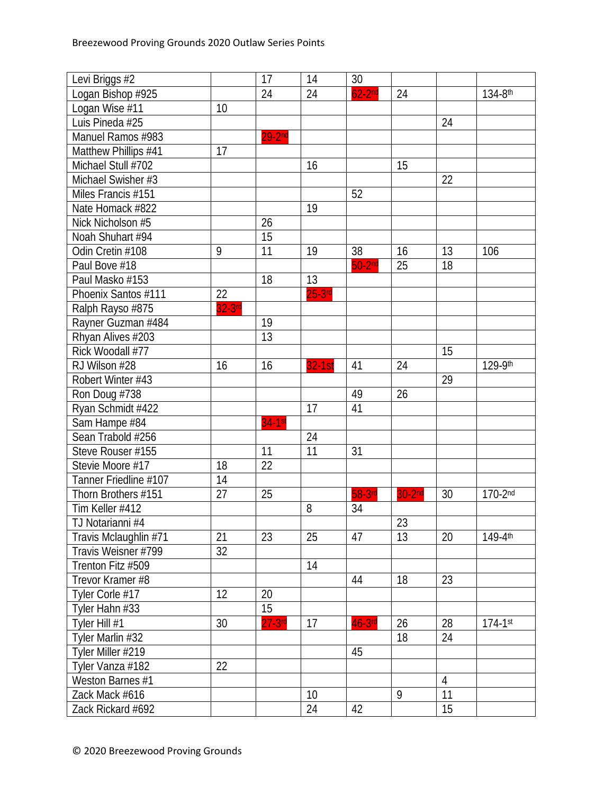| Levi Briggs #2        |                 | 17        | 14       | 30        |                    |                |              |
|-----------------------|-----------------|-----------|----------|-----------|--------------------|----------------|--------------|
| Logan Bishop #925     |                 | 24        | 24       | $62-2nd$  | 24                 |                | 134-8th      |
| Logan Wise #11        | 10              |           |          |           |                    |                |              |
| Luis Pineda #25       |                 |           |          |           |                    | 24             |              |
| Manuel Ramos #983     |                 | $29-2nd$  |          |           |                    |                |              |
| Matthew Phillips #41  | 17              |           |          |           |                    |                |              |
| Michael Stull #702    |                 |           | 16       |           | 15                 |                |              |
| Michael Swisher #3    |                 |           |          |           |                    | 22             |              |
| Miles Francis #151    |                 |           |          | 52        |                    |                |              |
| Nate Homack #822      |                 |           | 19       |           |                    |                |              |
| Nick Nicholson #5     |                 | 26        |          |           |                    |                |              |
| Noah Shuhart #94      |                 | 15        |          |           |                    |                |              |
| Odin Cretin #108      | 9               | 11        | 19       | 38        | 16                 | 13             | 106          |
| Paul Bove #18         |                 |           |          | $50-2nd$  | 25                 | 18             |              |
| Paul Masko #153       |                 | 18        | 13       |           |                    |                |              |
| Phoenix Santos #111   | $\overline{22}$ |           | $25-3rd$ |           |                    |                |              |
| Ralph Rayso #875      | $32-3$ rd       |           |          |           |                    |                |              |
| Rayner Guzman #484    |                 | 19        |          |           |                    |                |              |
| Rhyan Alives #203     |                 | 13        |          |           |                    |                |              |
| Rick Woodall #77      |                 |           |          |           |                    | 15             |              |
| RJ Wilson #28         | 16              | 16        | $32-1st$ | 41        | 24                 |                | 129-9th      |
| Robert Winter #43     |                 |           |          |           |                    | 29             |              |
| Ron Doug #738         |                 |           |          | 49        | 26                 |                |              |
| Ryan Schmidt #422     |                 |           | 17       | 41        |                    |                |              |
| Sam Hampe #84         |                 | $34-1st$  |          |           |                    |                |              |
| Sean Trabold #256     |                 |           | 24       |           |                    |                |              |
| Steve Rouser #155     |                 | 11        | 11       | 31        |                    |                |              |
| Stevie Moore #17      | 18              | 22        |          |           |                    |                |              |
| Tanner Friedline #107 | 14              |           |          |           |                    |                |              |
| Thorn Brothers #151   | 27              | 25        |          | 58-3rd    | 30-2 <sup>nd</sup> | 30             | 170-2nd      |
| Tim Keller #412       |                 |           | 8        | 34        |                    |                |              |
| TJ Notarianni #4      |                 |           |          |           | $\overline{23}$    |                |              |
| Travis Mclaughlin #71 | 21              | 23        | 25       | 47        | 13                 | 20             | 149-4th      |
| Travis Weisner #799   | 32              |           |          |           |                    |                |              |
| Trenton Fitz #509     |                 |           | 14       |           |                    |                |              |
| Trevor Kramer #8      |                 |           |          | 44        | 18                 | 23             |              |
| Tyler Corle #17       | 12              | 20        |          |           |                    |                |              |
| Tyler Hahn #33        |                 | 15        |          |           |                    |                |              |
| Tyler Hill #1         | 30              | $27-3$ rd | 17       | $46-3$ rd | 26                 | 28             | $174 - 1$ st |
| Tyler Marlin #32      |                 |           |          |           | 18                 | 24             |              |
| Tyler Miller #219     |                 |           |          | 45        |                    |                |              |
| Tyler Vanza #182      | 22              |           |          |           |                    |                |              |
| Weston Barnes #1      |                 |           |          |           |                    | $\overline{4}$ |              |
| Zack Mack #616        |                 |           | 10       |           | 9                  | 11             |              |
| Zack Rickard #692     |                 |           | 24       | 42        |                    | 15             |              |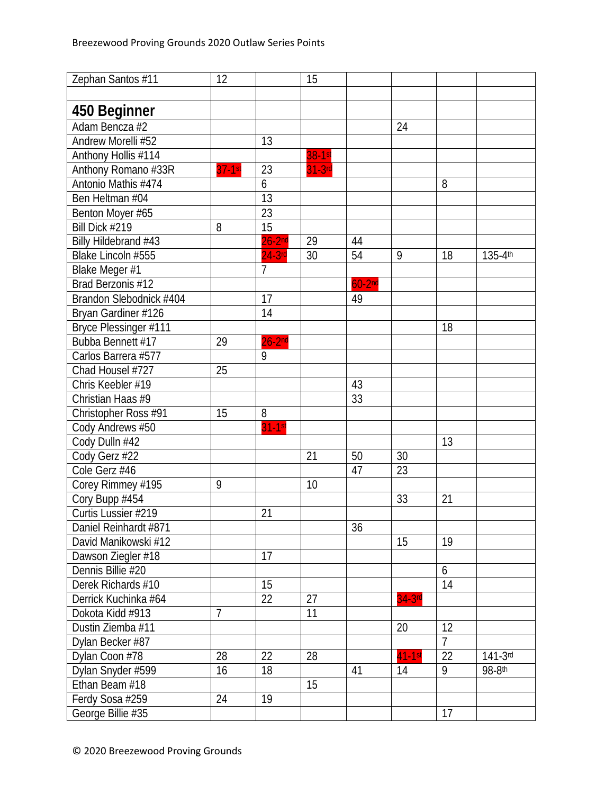| Zephan Santos #11       | 12             |                | 15       |          |           |                |                         |
|-------------------------|----------------|----------------|----------|----------|-----------|----------------|-------------------------|
|                         |                |                |          |          |           |                |                         |
| 450 Beginner            |                |                |          |          |           |                |                         |
| Adam Bencza #2          |                |                |          |          | 24        |                |                         |
| Andrew Morelli #52      |                | 13             |          |          |           |                |                         |
| Anthony Hollis #114     |                |                | $38-1st$ |          |           |                |                         |
| Anthony Romano #33R     | $37-1$ st      | 23             | $31-3rd$ |          |           |                |                         |
| Antonio Mathis #474     |                | 6              |          |          |           | 8              |                         |
| Ben Heltman #04         |                | 13             |          |          |           |                |                         |
| Benton Moyer #65        |                | 23             |          |          |           |                |                         |
| Bill Dick #219          | 8              | 15             |          |          |           |                |                         |
| Billy Hildebrand #43    |                | $26-2nd$       | 29       | 44       |           |                |                         |
| Blake Lincoln #555      |                | $24-3$ rd      | 30       | 54       | 9         | 18             | $135 - 4$ <sup>th</sup> |
| Blake Meger #1          |                | $\overline{7}$ |          |          |           |                |                         |
| Brad Berzonis #12       |                |                |          | $60-2nd$ |           |                |                         |
| Brandon Slebodnick #404 |                | 17             |          | 49       |           |                |                         |
| Bryan Gardiner #126     |                | 14             |          |          |           |                |                         |
| Bryce Plessinger #111   |                |                |          |          |           | 18             |                         |
| Bubba Bennett #17       | 29             | $26-2nd$       |          |          |           |                |                         |
| Carlos Barrera #577     |                | 9              |          |          |           |                |                         |
| Chad Housel #727        | 25             |                |          |          |           |                |                         |
| Chris Keebler #19       |                |                |          | 43       |           |                |                         |
| Christian Haas #9       |                |                |          | 33       |           |                |                         |
| Christopher Ross #91    | 15             | 8              |          |          |           |                |                         |
| Cody Andrews #50        |                | $31-1st$       |          |          |           |                |                         |
| Cody Dulln #42          |                |                |          |          |           | 13             |                         |
| Cody Gerz #22           |                |                | 21       | 50       | 30        |                |                         |
| Cole Gerz #46           |                |                |          | 47       | 23        |                |                         |
| Corey Rimmey #195       | 9              |                | 10       |          |           |                |                         |
| Cory Bupp #454          |                |                |          |          | 33        | 21             |                         |
| Curtis Lussier #219     |                | 21             |          |          |           |                |                         |
| Daniel Reinhardt #871   |                |                |          | 36       |           |                |                         |
| David Manikowski #12    |                |                |          |          | 15        | 19             |                         |
| Dawson Ziegler #18      |                | 17             |          |          |           |                |                         |
| Dennis Billie #20       |                |                |          |          |           | 6              |                         |
| Derek Richards #10      |                | 15             |          |          |           | 14             |                         |
| Derrick Kuchinka #64    |                | 22             | 27       |          | $34-3$ rd |                |                         |
| Dokota Kidd #913        | $\overline{7}$ |                | 11       |          |           |                |                         |
| Dustin Ziemba #11       |                |                |          |          | 20        | 12             |                         |
| Dylan Becker #87        |                |                |          |          |           | $\overline{7}$ |                         |
| Dylan Coon #78          | 28             | 22             | 28       |          | $41-1st$  | 22             | $141 - 3^{rd}$          |
| Dylan Snyder #599       | 16             | 18             |          | 41       | 14        | 9              | 98-8th                  |
| Ethan Beam #18          |                |                | 15       |          |           |                |                         |
| Ferdy Sosa #259         | 24             | 19             |          |          |           |                |                         |
| George Billie #35       |                |                |          |          |           | 17             |                         |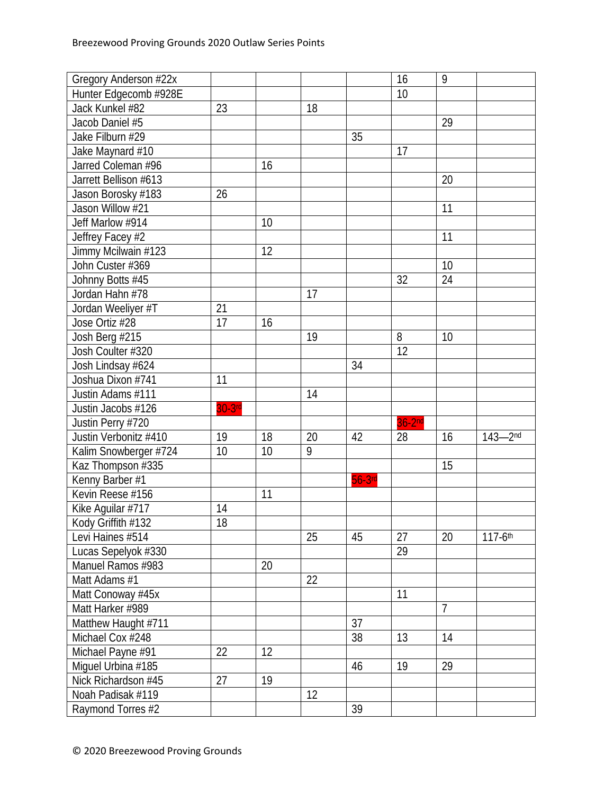| Gregory Anderson #22x |        |    |    |           | 16       | 9              |             |
|-----------------------|--------|----|----|-----------|----------|----------------|-------------|
| Hunter Edgecomb #928E |        |    |    |           | 10       |                |             |
| Jack Kunkel #82       | 23     |    | 18 |           |          |                |             |
| Jacob Daniel #5       |        |    |    |           |          | 29             |             |
| Jake Filburn #29      |        |    |    | 35        |          |                |             |
| Jake Maynard #10      |        |    |    |           | 17       |                |             |
| Jarred Coleman #96    |        | 16 |    |           |          |                |             |
| Jarrett Bellison #613 |        |    |    |           |          | 20             |             |
| Jason Borosky #183    | 26     |    |    |           |          |                |             |
| Jason Willow #21      |        |    |    |           |          | 11             |             |
| Jeff Marlow #914      |        | 10 |    |           |          |                |             |
| Jeffrey Facey #2      |        |    |    |           |          | 11             |             |
| Jimmy Mcilwain #123   |        | 12 |    |           |          |                |             |
| John Custer #369      |        |    |    |           |          | 10             |             |
| Johnny Botts #45      |        |    |    |           | 32       | 24             |             |
| Jordan Hahn #78       |        |    | 17 |           |          |                |             |
| Jordan Weeliyer #T    | 21     |    |    |           |          |                |             |
| Jose Ortiz #28        | 17     | 16 |    |           |          |                |             |
| Josh Berg #215        |        |    | 19 |           | 8        | 10             |             |
| Josh Coulter #320     |        |    |    |           | 12       |                |             |
| Josh Lindsay #624     |        |    |    | 34        |          |                |             |
| Joshua Dixon #741     | 11     |    |    |           |          |                |             |
| Justin Adams #111     |        |    | 14 |           |          |                |             |
| Justin Jacobs #126    | 30-3rd |    |    |           |          |                |             |
| Justin Perry #720     |        |    |    |           | $36-2nd$ |                |             |
| Justin Verbonitz #410 | 19     | 18 | 20 | 42        | 28       | 16             | $143 - 2nd$ |
| Kalim Snowberger #724 | 10     | 10 | 9  |           |          |                |             |
| Kaz Thompson #335     |        |    |    |           |          | 15             |             |
| Kenny Barber #1       |        |    |    | $56-3$ rd |          |                |             |
| Kevin Reese #156      |        | 11 |    |           |          |                |             |
| Kike Aquilar #717     | 14     |    |    |           |          |                |             |
| Kody Griffith #132    | 18     |    |    |           |          |                |             |
| Levi Haines #514      |        |    | 25 | 45        | 27       | 20             | 117-6th     |
| Lucas Sepelyok #330   |        |    |    |           | 29       |                |             |
| Manuel Ramos #983     |        | 20 |    |           |          |                |             |
| Matt Adams #1         |        |    | 22 |           |          |                |             |
| Matt Conoway #45x     |        |    |    |           | 11       |                |             |
| Matt Harker #989      |        |    |    |           |          | $\overline{7}$ |             |
| Matthew Haught #711   |        |    |    | 37        |          |                |             |
| Michael Cox #248      |        |    |    | 38        | 13       | 14             |             |
| Michael Payne #91     | 22     | 12 |    |           |          |                |             |
| Miguel Urbina #185    |        |    |    | 46        | 19       | 29             |             |
| Nick Richardson #45   | 27     | 19 |    |           |          |                |             |
| Noah Padisak #119     |        |    | 12 |           |          |                |             |
| Raymond Torres #2     |        |    |    | 39        |          |                |             |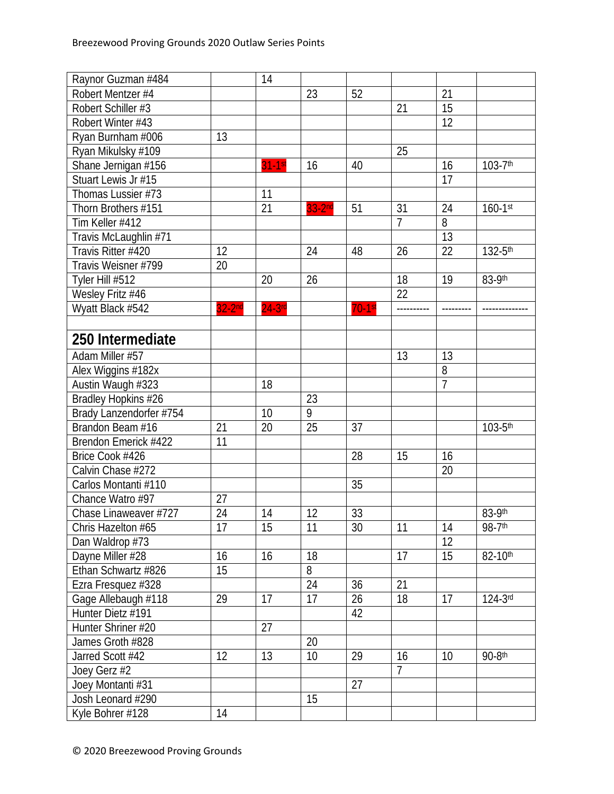| Raynor Guzman #484      |          | 14        |          |             |                 |                |                         |
|-------------------------|----------|-----------|----------|-------------|-----------------|----------------|-------------------------|
| Robert Mentzer #4       |          |           | 23       | 52          |                 | 21             |                         |
| Robert Schiller #3      |          |           |          |             | 21              | 15             |                         |
| Robert Winter #43       |          |           |          |             |                 | 12             |                         |
| Ryan Burnham #006       | 13       |           |          |             |                 |                |                         |
| Ryan Mikulsky #109      |          |           |          |             | 25              |                |                         |
| Shane Jernigan #156     |          | $31-1$ st | 16       | 40          |                 | 16             | $103 - 7$ <sup>th</sup> |
| Stuart Lewis Jr #15     |          |           |          |             |                 | 17             |                         |
| Thomas Lussier #73      |          | 11        |          |             |                 |                |                         |
| Thorn Brothers #151     |          | 21        | $33-2nd$ | 51          | 31              | 24             | $160 - 1$ st            |
| Tim Keller #412         |          |           |          |             | $\overline{7}$  | 8              |                         |
| Travis McLaughlin #71   |          |           |          |             |                 | 13             |                         |
| Travis Ritter #420      | 12       |           | 24       | 48          | 26              | 22             | 132-5th                 |
| Travis Weisner #799     | 20       |           |          |             |                 |                |                         |
| Tyler Hill #512         |          | 20        | 26       |             | 18              | 19             | 83-9th                  |
| Wesley Fritz #46        |          |           |          |             | $\overline{22}$ |                |                         |
| Wyatt Black #542        | $32-2nd$ | $24-3$ rd |          | $70 - 1$ st | ----------      |                |                         |
|                         |          |           |          |             |                 |                |                         |
| 250 Intermediate        |          |           |          |             |                 |                |                         |
| Adam Miller #57         |          |           |          |             | 13              | 13             |                         |
| Alex Wiggins #182x      |          |           |          |             |                 | 8              |                         |
| Austin Waugh #323       |          | 18        |          |             |                 | $\overline{7}$ |                         |
| Bradley Hopkins #26     |          |           | 23       |             |                 |                |                         |
| Brady Lanzendorfer #754 |          | 10        | 9        |             |                 |                |                         |
| Brandon Beam #16        | 21       | 20        | 25       | 37          |                 |                | $103 - 5^{\text{th}}$   |
| Brendon Emerick #422    | 11       |           |          |             |                 |                |                         |
| Brice Cook #426         |          |           |          | 28          | 15              | 16             |                         |
| Calvin Chase #272       |          |           |          |             |                 | 20             |                         |
| Carlos Montanti #110    |          |           |          | 35          |                 |                |                         |
| Chance Watro #97        | 27       |           |          |             |                 |                |                         |
| Chase Linaweaver #727   | 24       | 14        | 12       | 33          |                 |                | 83-9th                  |
| Chris Hazelton #65      | 17       | 15        | 11       | 30          | 11              | 14             | 98-7th                  |
| Dan Waldrop #73         |          |           |          |             |                 | 12             |                         |
| Dayne Miller #28        | 16       | 16        | 18       |             | 17              | 15             | 82-10th                 |
| Ethan Schwartz #826     | 15       |           | 8        |             |                 |                |                         |
| Ezra Fresquez #328      |          |           | 24       | 36          | 21              |                |                         |
| Gage Allebaugh #118     | 29       | 17        | 17       | 26          | 18              | 17             | 124-3rd                 |
| Hunter Dietz #191       |          |           |          | 42          |                 |                |                         |
| Hunter Shriner #20      |          | 27        |          |             |                 |                |                         |
| James Groth #828        |          |           | 20       |             |                 |                |                         |
| Jarred Scott #42        | 12       | 13        | 10       | 29          | 16              | 10             | $90-8$ th               |
| Joey Gerz #2            |          |           |          |             | $\overline{7}$  |                |                         |
| Joey Montanti #31       |          |           |          | 27          |                 |                |                         |
| Josh Leonard #290       |          |           | 15       |             |                 |                |                         |
| Kyle Bohrer #128        | 14       |           |          |             |                 |                |                         |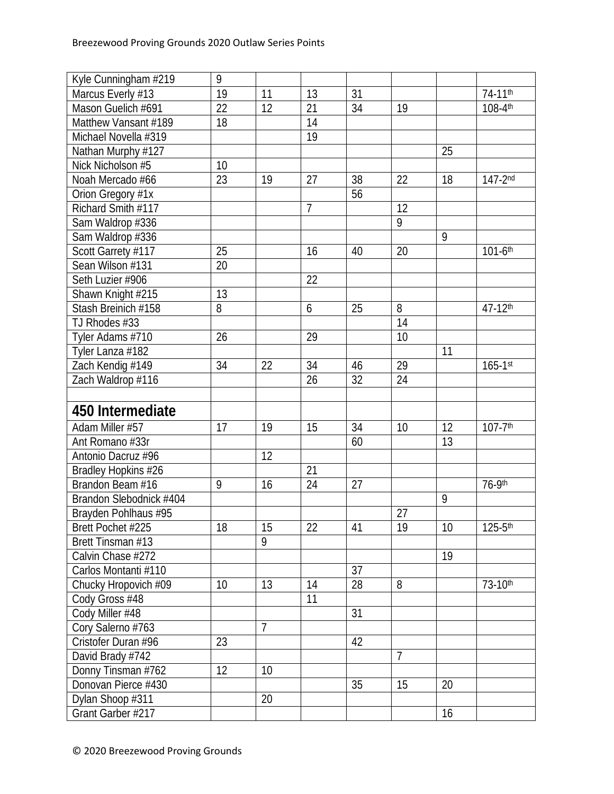| Kyle Cunningham #219    | 9               |                |                |    |                 |    |                         |
|-------------------------|-----------------|----------------|----------------|----|-----------------|----|-------------------------|
| Marcus Everly #13       | 19              | 11             | 13             | 31 |                 |    | $74-11^{th}$            |
| Mason Guelich #691      | 22              | 12             | 21             | 34 | 19              |    | 108-4th                 |
| Matthew Vansant #189    | 18              |                | 14             |    |                 |    |                         |
| Michael Novella #319    |                 |                | 19             |    |                 |    |                         |
| Nathan Murphy #127      |                 |                |                |    |                 | 25 |                         |
| Nick Nicholson #5       | 10              |                |                |    |                 |    |                         |
| Noah Mercado #66        | 23              | 19             | 27             | 38 | 22              | 18 | $147 - 2^{nd}$          |
| Orion Gregory #1x       |                 |                |                | 56 |                 |    |                         |
| Richard Smith #117      |                 |                | $\overline{7}$ |    | 12              |    |                         |
| Sam Waldrop #336        |                 |                |                |    | 9               |    |                         |
| Sam Waldrop #336        |                 |                |                |    |                 | 9  |                         |
| Scott Garrety #117      | 25              |                | 16             | 40 | 20              |    | $101 - 6$ <sup>th</sup> |
| Sean Wilson #131        | 20              |                |                |    |                 |    |                         |
| Seth Luzier #906        |                 |                | 22             |    |                 |    |                         |
| Shawn Knight #215       | $\overline{13}$ |                |                |    |                 |    |                         |
| Stash Breinich #158     | 8               |                | 6              | 25 | 8               |    | 47-12th                 |
| TJ Rhodes #33           |                 |                |                |    | $\overline{14}$ |    |                         |
| Tyler Adams #710        | 26              |                | 29             |    | 10              |    |                         |
| Tyler Lanza #182        |                 |                |                |    |                 | 11 |                         |
| Zach Kendig #149        | 34              | 22             | 34             | 46 | $\overline{29}$ |    | $165 - 1$ st            |
| Zach Waldrop #116       |                 |                | 26             | 32 | 24              |    |                         |
|                         |                 |                |                |    |                 |    |                         |
| 450 Intermediate        |                 |                |                |    |                 |    |                         |
| Adam Miller #57         | 17              | 19             | 15             | 34 | 10              | 12 | $107 - 7$ <sup>th</sup> |
| Ant Romano #33r         |                 |                |                | 60 |                 | 13 |                         |
| Antonio Dacruz #96      |                 | 12             |                |    |                 |    |                         |
| Bradley Hopkins #26     |                 |                | 21             |    |                 |    |                         |
| Brandon Beam #16        | 9               | 16             | 24             | 27 |                 |    | 76-9th                  |
| Brandon Slebodnick #404 |                 |                |                |    |                 | 9  |                         |
| Brayden Pohlhaus #95    |                 |                |                |    | 27              |    |                         |
| Brett Pochet #225       | 18              | 15             | 22             | 41 | 19              | 10 | $125 - 5$ th            |
| Brett Tinsman #13       |                 | 9              |                |    |                 |    |                         |
| Calvin Chase #272       |                 |                |                |    |                 | 19 |                         |
| Carlos Montanti #110    |                 |                |                | 37 |                 |    |                         |
| Chucky Hropovich #09    | 10              | 13             | 14             | 28 | 8               |    | $73-10$ th              |
| Cody Gross #48          |                 |                | 11             |    |                 |    |                         |
| Cody Miller #48         |                 |                |                | 31 |                 |    |                         |
| Cory Salerno #763       |                 | $\overline{7}$ |                |    |                 |    |                         |
| Cristofer Duran #96     | 23              |                |                | 42 |                 |    |                         |
| David Brady #742        |                 |                |                |    | $\overline{7}$  |    |                         |
| Donny Tinsman #762      | 12              | 10             |                |    |                 |    |                         |
| Donovan Pierce #430     |                 |                |                | 35 | 15              | 20 |                         |
| Dylan Shoop #311        |                 | 20             |                |    |                 |    |                         |
| Grant Garber #217       |                 |                |                |    |                 | 16 |                         |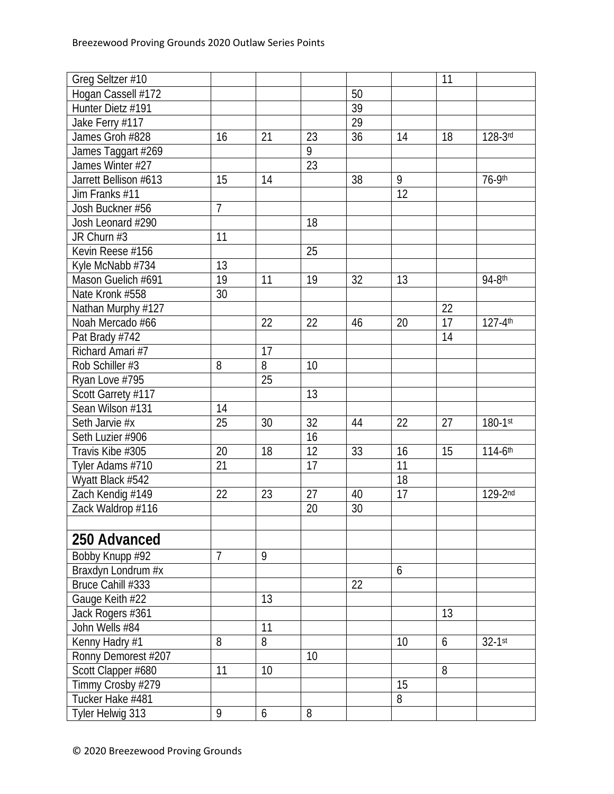| Greg Seltzer #10      |                |                |                 |    |    | 11 |                         |
|-----------------------|----------------|----------------|-----------------|----|----|----|-------------------------|
| Hogan Cassell #172    |                |                |                 | 50 |    |    |                         |
| Hunter Dietz #191     |                |                |                 | 39 |    |    |                         |
| Jake Ferry #117       |                |                |                 | 29 |    |    |                         |
| James Groh #828       | 16             | 21             | 23              | 36 | 14 | 18 | 128-3rd                 |
| James Taggart #269    |                |                | 9               |    |    |    |                         |
| James Winter #27      |                |                | 23              |    |    |    |                         |
| Jarrett Bellison #613 | 15             | 14             |                 | 38 | 9  |    | 76-9th                  |
| Jim Franks #11        |                |                |                 |    | 12 |    |                         |
| Josh Buckner #56      | $\overline{7}$ |                |                 |    |    |    |                         |
| Josh Leonard #290     |                |                | 18              |    |    |    |                         |
| JR Churn #3           | 11             |                |                 |    |    |    |                         |
| Kevin Reese #156      |                |                | 25              |    |    |    |                         |
| Kyle McNabb #734      | 13             |                |                 |    |    |    |                         |
| Mason Guelich #691    | 19             | 11             | 19              | 32 | 13 |    | 94-8th                  |
| Nate Kronk #558       | 30             |                |                 |    |    |    |                         |
| Nathan Murphy #127    |                |                |                 |    |    | 22 |                         |
| Noah Mercado #66      |                | 22             | 22              | 46 | 20 | 17 | $127 - 4$ <sup>th</sup> |
| Pat Brady #742        |                |                |                 |    |    | 14 |                         |
| Richard Amari #7      |                | 17             |                 |    |    |    |                         |
| Rob Schiller #3       | 8              | $\overline{8}$ | 10              |    |    |    |                         |
| Ryan Love #795        |                | 25             |                 |    |    |    |                         |
| Scott Garrety #117    |                |                | 13              |    |    |    |                         |
| Sean Wilson #131      | 14             |                |                 |    |    |    |                         |
| Seth Jarvie #x        | 25             | 30             | 32              | 44 | 22 | 27 | $180 - 1$ st            |
| Seth Luzier #906      |                |                | 16              |    |    |    |                         |
| Travis Kibe #305      | 20             | 18             | $\overline{12}$ | 33 | 16 | 15 | 114-6th                 |
| Tyler Adams #710      | 21             |                | 17              |    | 11 |    |                         |
| Wyatt Black #542      |                |                |                 |    | 18 |    |                         |
| Zach Kendig #149      | 22             | 23             | 27              | 40 | 17 |    | 129-2nd                 |
| Zack Waldrop #116     |                |                | 20              | 30 |    |    |                         |
|                       |                |                |                 |    |    |    |                         |
| 250 Advanced          |                |                |                 |    |    |    |                         |
| Bobby Knupp #92       | $\overline{7}$ | 9              |                 |    |    |    |                         |
| Braxdyn Londrum #x    |                |                |                 |    | 6  |    |                         |
| Bruce Cahill #333     |                |                |                 | 22 |    |    |                         |
| Gauge Keith #22       |                | 13             |                 |    |    |    |                         |
| Jack Rogers #361      |                |                |                 |    |    | 13 |                         |
| John Wells #84        |                | 11             |                 |    |    |    |                         |
|                       | 8              | 8              |                 |    | 10 | 6  | $32-1$ st               |
| Kenny Hadry #1        |                |                |                 |    |    |    |                         |
| Ronny Demorest #207   |                | 10             | 10              |    |    | 8  |                         |
| Scott Clapper #680    | 11             |                |                 |    | 15 |    |                         |
| Timmy Crosby #279     |                |                |                 |    |    |    |                         |
| Tucker Hake #481      |                |                |                 |    | 8  |    |                         |
| Tyler Helwig 313      | 9              | 6              | 8               |    |    |    |                         |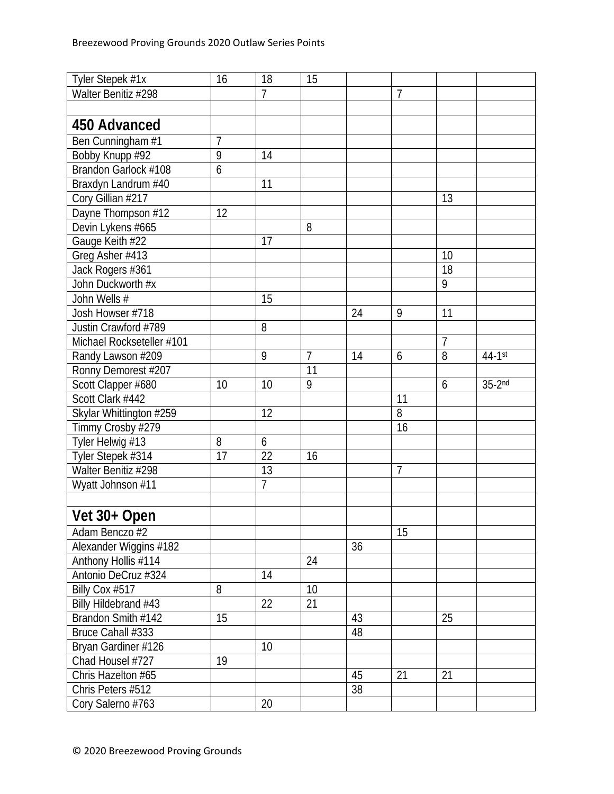| Tyler Stepek #1x          | 16             | 18             | 15             |    |                |                |          |
|---------------------------|----------------|----------------|----------------|----|----------------|----------------|----------|
| Walter Benitiz #298       |                | $\overline{7}$ |                |    | $\overline{7}$ |                |          |
|                           |                |                |                |    |                |                |          |
| 450 Advanced              |                |                |                |    |                |                |          |
| Ben Cunningham #1         | $\overline{1}$ |                |                |    |                |                |          |
| Bobby Knupp #92           | 9              | 14             |                |    |                |                |          |
| Brandon Garlock #108      | 6              |                |                |    |                |                |          |
| Braxdyn Landrum #40       |                | 11             |                |    |                |                |          |
| Cory Gillian #217         |                |                |                |    |                | 13             |          |
| Dayne Thompson #12        | 12             |                |                |    |                |                |          |
| Devin Lykens #665         |                |                | 8              |    |                |                |          |
| Gauge Keith #22           |                | 17             |                |    |                |                |          |
| Greg Asher #413           |                |                |                |    |                | 10             |          |
| Jack Rogers #361          |                |                |                |    |                | 18             |          |
| John Duckworth #x         |                |                |                |    |                | 9              |          |
| John Wells #              |                | 15             |                |    |                |                |          |
| Josh Howser #718          |                |                |                | 24 | 9              | 11             |          |
| Justin Crawford #789      |                | 8              |                |    |                |                |          |
| Michael Rockseteller #101 |                |                |                |    |                | $\overline{7}$ |          |
| Randy Lawson #209         |                | 9              | $\overline{7}$ | 14 | 6              | 8              | 44-1st   |
| Ronny Demorest #207       |                |                | 11             |    |                |                |          |
| Scott Clapper #680        | 10             | 10             | 9              |    |                | 6              | $35-2nd$ |
| Scott Clark #442          |                |                |                |    | 11             |                |          |
| Skylar Whittington #259   |                | 12             |                |    | 8              |                |          |
| Timmy Crosby #279         |                |                |                |    | 16             |                |          |
| Tyler Helwig #13          | 8              | 6              |                |    |                |                |          |
| Tyler Stepek #314         | 17             | 22             | 16             |    |                |                |          |
| Walter Benitiz #298       |                | 13             |                |    | $\overline{7}$ |                |          |
| Wyatt Johnson #11         |                | $\overline{7}$ |                |    |                |                |          |
|                           |                |                |                |    |                |                |          |
| Vet 30+ Open              |                |                |                |    |                |                |          |
| Adam Benczo #2            |                |                |                |    | 15             |                |          |
| Alexander Wiggins #182    |                |                |                | 36 |                |                |          |
| Anthony Hollis #114       |                |                | 24             |    |                |                |          |
| Antonio DeCruz #324       |                | 14             |                |    |                |                |          |
| Billy Cox #517            | 8              |                | 10             |    |                |                |          |
| Billy Hildebrand #43      |                | 22             | 21             |    |                |                |          |
| Brandon Smith #142        | 15             |                |                | 43 |                | 25             |          |
| Bruce Cahall #333         |                |                |                | 48 |                |                |          |
| Bryan Gardiner #126       |                | 10             |                |    |                |                |          |
| Chad Housel #727          | 19             |                |                |    |                |                |          |
| Chris Hazelton #65        |                |                |                | 45 | 21             | 21             |          |
| Chris Peters #512         |                |                |                | 38 |                |                |          |
| Cory Salerno #763         |                | 20             |                |    |                |                |          |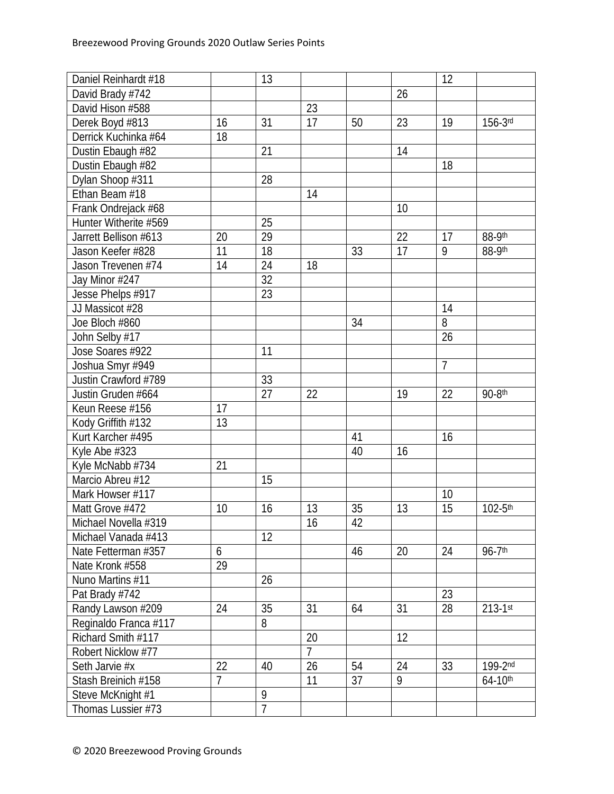| Daniel Reinhardt #18  |    | 13              |                 |                 |    | 12             |              |
|-----------------------|----|-----------------|-----------------|-----------------|----|----------------|--------------|
| David Brady #742      |    |                 |                 |                 | 26 |                |              |
| David Hison #588      |    |                 | 23              |                 |    |                |              |
| Derek Boyd #813       | 16 | 31              | 17              | 50              | 23 | 19             | 156-3rd      |
| Derrick Kuchinka #64  | 18 |                 |                 |                 |    |                |              |
| Dustin Ebaugh #82     |    | 21              |                 |                 | 14 |                |              |
| Dustin Ebaugh #82     |    |                 |                 |                 |    | 18             |              |
| Dylan Shoop #311      |    | 28              |                 |                 |    |                |              |
| Ethan Beam #18        |    |                 | 14              |                 |    |                |              |
| Frank Ondrejack #68   |    |                 |                 |                 | 10 |                |              |
| Hunter Witherite #569 |    | 25              |                 |                 |    |                |              |
| Jarrett Bellison #613 | 20 | 29              |                 |                 | 22 | 17             | 88-9th       |
| Jason Keefer #828     | 11 | 18              |                 | 33              | 17 | 9              | 88-9th       |
| Jason Trevenen #74    | 14 | 24              | 18              |                 |    |                |              |
| Jay Minor #247        |    | 32              |                 |                 |    |                |              |
| Jesse Phelps #917     |    | $\overline{23}$ |                 |                 |    |                |              |
| JJ Massicot #28       |    |                 |                 |                 |    | 14             |              |
| Joe Bloch #860        |    |                 |                 | 34              |    | 8              |              |
| John Selby #17        |    |                 |                 |                 |    | 26             |              |
| Jose Soares #922      |    | 11              |                 |                 |    |                |              |
| Joshua Smyr #949      |    |                 |                 |                 |    | $\overline{7}$ |              |
| Justin Crawford #789  |    | 33              |                 |                 |    |                |              |
| Justin Gruden #664    |    | 27              | 22              |                 | 19 | 22             | 90-8th       |
| Keun Reese #156       | 17 |                 |                 |                 |    |                |              |
| Kody Griffith #132    | 13 |                 |                 |                 |    |                |              |
| Kurt Karcher #495     |    |                 |                 | 41              |    | 16             |              |
| Kyle Abe #323         |    |                 |                 | 40              | 16 |                |              |
| Kyle McNabb #734      | 21 |                 |                 |                 |    |                |              |
| Marcio Abreu #12      |    | 15              |                 |                 |    |                |              |
| Mark Howser #117      |    |                 |                 |                 |    | 10             |              |
| Matt Grove #472       | 10 | 16              | 13              | 35              | 13 | 15             | $102 - 5$ th |
| Michael Novella #319  |    |                 | $\overline{16}$ | $\overline{42}$ |    |                |              |
| Michael Vanada #413   |    | 12              |                 |                 |    |                |              |
| Nate Fetterman #357   | 6  |                 |                 | 46              | 20 | 24             | $96 - 7$ th  |
| Nate Kronk #558       | 29 |                 |                 |                 |    |                |              |
| Nuno Martins #11      |    | 26              |                 |                 |    |                |              |
| Pat Brady #742        |    |                 |                 |                 |    | 23             |              |
| Randy Lawson #209     | 24 | 35              | 31              | 64              | 31 | 28             | $213 - 1$ st |
| Reginaldo Franca #117 |    | 8               |                 |                 |    |                |              |
| Richard Smith #117    |    |                 | 20              |                 | 12 |                |              |
| Robert Nicklow #77    |    |                 | $\overline{7}$  |                 |    |                |              |
| Seth Jarvie #x        | 22 | 40              | 26              | 54              | 24 | 33             | 199-2nd      |
| Stash Breinich #158   | 7  |                 | 11              | 37              | 9  |                | $64 - 10$ th |
| Steve McKnight #1     |    | 9               |                 |                 |    |                |              |
| Thomas Lussier #73    |    | $\overline{1}$  |                 |                 |    |                |              |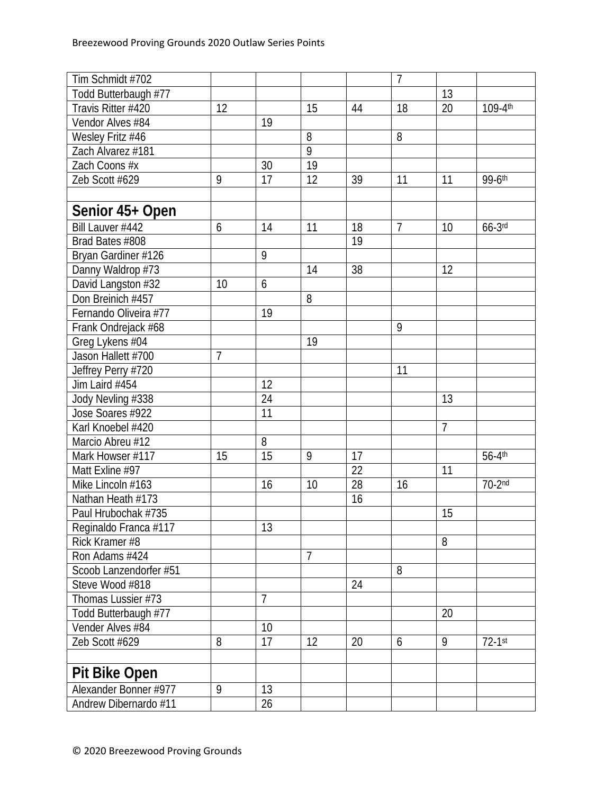| Tim Schmidt #702       |    |                |                |    | $\overline{7}$ |                |            |
|------------------------|----|----------------|----------------|----|----------------|----------------|------------|
| Todd Butterbaugh #77   |    |                |                |    |                | 13             |            |
| Travis Ritter #420     | 12 |                | 15             | 44 | 18             | 20             | 109-4th    |
| Vendor Alves #84       |    | 19             |                |    |                |                |            |
| Wesley Fritz #46       |    |                | 8              |    | 8              |                |            |
| Zach Alvarez #181      |    |                | 9              |    |                |                |            |
| Zach Coons #x          |    | 30             | 19             |    |                |                |            |
| Zeb Scott #629         | 9  | 17             | 12             | 39 | 11             | 11             | 99-6th     |
|                        |    |                |                |    |                |                |            |
| Senior 45+ Open        |    |                |                |    |                |                |            |
| Bill Lauver #442       | 6  | 14             | 11             | 18 | $\overline{7}$ | 10             | $66-3$ rd  |
| Brad Bates #808        |    |                |                | 19 |                |                |            |
| Bryan Gardiner #126    |    | 9              |                |    |                |                |            |
| Danny Waldrop #73      |    |                | 14             | 38 |                | 12             |            |
| David Langston #32     | 10 | 6              |                |    |                |                |            |
| Don Breinich #457      |    |                | 8              |    |                |                |            |
| Fernando Oliveira #77  |    | 19             |                |    |                |                |            |
| Frank Ondrejack #68    |    |                |                |    | 9              |                |            |
| Greg Lykens #04        |    |                | 19             |    |                |                |            |
| Jason Hallett #700     | 7  |                |                |    |                |                |            |
| Jeffrey Perry #720     |    |                |                |    | 11             |                |            |
| Jim Laird #454         |    | 12             |                |    |                |                |            |
| Jody Nevling #338      |    | 24             |                |    |                | 13             |            |
| Jose Soares #922       |    | 11             |                |    |                |                |            |
| Karl Knoebel #420      |    |                |                |    |                | $\overline{1}$ |            |
| Marcio Abreu #12       |    | 8              |                |    |                |                |            |
| Mark Howser #117       | 15 | 15             | 9              | 17 |                |                | 56-4th     |
| Matt Exline #97        |    |                |                | 22 |                | 11             |            |
| Mike Lincoln #163      |    | 16             | 10             | 28 | 16             |                | $70 - 2nd$ |
| Nathan Heath #173      |    |                |                | 16 |                |                |            |
| Paul Hrubochak #735    |    |                |                |    |                | 15             |            |
| Reginaldo Franca #117  |    | 13             |                |    |                |                |            |
| Rick Kramer #8         |    |                |                |    |                | 8              |            |
| Ron Adams #424         |    |                | $\overline{7}$ |    |                |                |            |
| Scoob Lanzendorfer #51 |    |                |                |    | 8              |                |            |
| Steve Wood #818        |    |                |                | 24 |                |                |            |
| Thomas Lussier #73     |    | $\overline{7}$ |                |    |                |                |            |
| Todd Butterbaugh #77   |    |                |                |    |                | 20             |            |
| Vender Alves #84       |    | 10             |                |    |                |                |            |
| Zeb Scott #629         | 8  | 17             | 12             | 20 | 6              | 9              | $72-1$ st  |
|                        |    |                |                |    |                |                |            |
| <b>Pit Bike Open</b>   |    |                |                |    |                |                |            |
| Alexander Bonner #977  | 9  | 13             |                |    |                |                |            |
| Andrew Dibernardo #11  |    | 26             |                |    |                |                |            |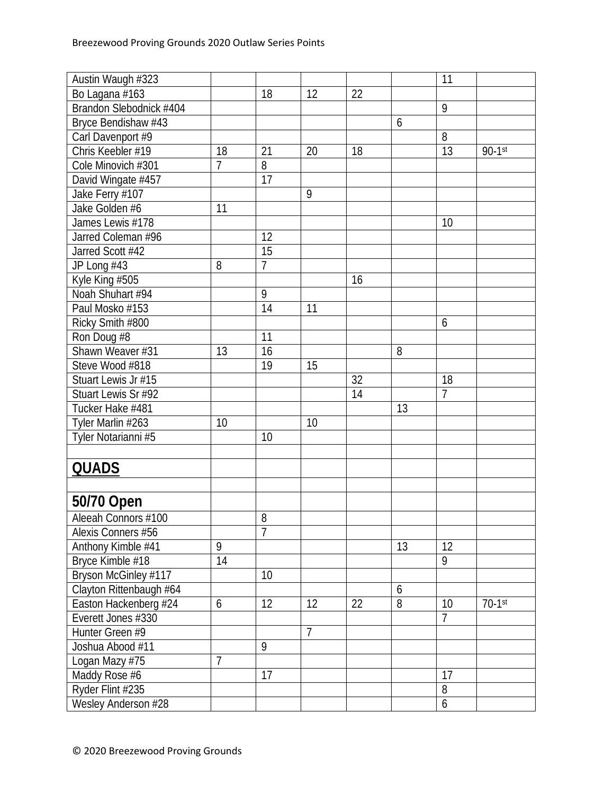| Austin Waugh #323       |                |                |                |    |    | 11               |           |
|-------------------------|----------------|----------------|----------------|----|----|------------------|-----------|
| Bo Lagana #163          |                | 18             | 12             | 22 |    |                  |           |
| Brandon Slebodnick #404 |                |                |                |    |    | 9                |           |
| Bryce Bendishaw #43     |                |                |                |    | 6  |                  |           |
| Carl Davenport #9       |                |                |                |    |    | 8                |           |
| Chris Keebler #19       | 18             | 21             | 20             | 18 |    | 13               | $90-1$ st |
| Cole Minovich #301      | 7              | 8              |                |    |    |                  |           |
| David Wingate #457      |                | 17             |                |    |    |                  |           |
| Jake Ferry #107         |                |                | 9              |    |    |                  |           |
| Jake Golden #6          | 11             |                |                |    |    |                  |           |
| James Lewis #178        |                |                |                |    |    | 10               |           |
| Jarred Coleman #96      |                | 12             |                |    |    |                  |           |
| Jarred Scott #42        |                | 15             |                |    |    |                  |           |
| JP Long #43             | 8              | $\overline{7}$ |                |    |    |                  |           |
| Kyle King #505          |                |                |                | 16 |    |                  |           |
| Noah Shuhart #94        |                | $\overline{9}$ |                |    |    |                  |           |
| Paul Mosko #153         |                | 14             | 11             |    |    |                  |           |
| Ricky Smith #800        |                |                |                |    |    | 6                |           |
| Ron Doug #8             |                | 11             |                |    |    |                  |           |
| Shawn Weaver #31        | 13             | 16             |                |    | 8  |                  |           |
| Steve Wood #818         |                | 19             | 15             |    |    |                  |           |
| Stuart Lewis Jr #15     |                |                |                | 32 |    | 18               |           |
| Stuart Lewis Sr #92     |                |                |                | 14 |    | $\overline{7}$   |           |
| Tucker Hake #481        |                |                |                |    | 13 |                  |           |
| Tyler Marlin #263       | 10             |                | 10             |    |    |                  |           |
| Tyler Notarianni #5     |                | 10             |                |    |    |                  |           |
|                         |                |                |                |    |    |                  |           |
| <b>QUADS</b>            |                |                |                |    |    |                  |           |
|                         |                |                |                |    |    |                  |           |
| 50/70 Open              |                |                |                |    |    |                  |           |
| Aleeah Connors #100     |                | 8              |                |    |    |                  |           |
| Alexis Conners #56      |                | $\overline{7}$ |                |    |    |                  |           |
| Anthony Kimble #41      | 9              |                |                |    | 13 | 12               |           |
| Bryce Kimble #18        | 14             |                |                |    |    | 9                |           |
| Bryson McGinley #117    |                | 10             |                |    |    |                  |           |
| Clayton Rittenbaugh #64 |                |                |                |    | 6  |                  |           |
| Easton Hackenberg #24   | 6              | 12             | 12             | 22 | 8  | 10               | $70-1$ st |
| Everett Jones #330      |                |                |                |    |    | $\overline{7}$   |           |
| Hunter Green #9         |                |                | $\overline{7}$ |    |    |                  |           |
| Joshua Abood #11        |                | 9              |                |    |    |                  |           |
| Logan Mazy #75          | $\overline{1}$ |                |                |    |    |                  |           |
| Maddy Rose #6           |                | 17             |                |    |    | 17               |           |
| Ryder Flint #235        |                |                |                |    |    | 8                |           |
| Wesley Anderson #28     |                |                |                |    |    | $\boldsymbol{6}$ |           |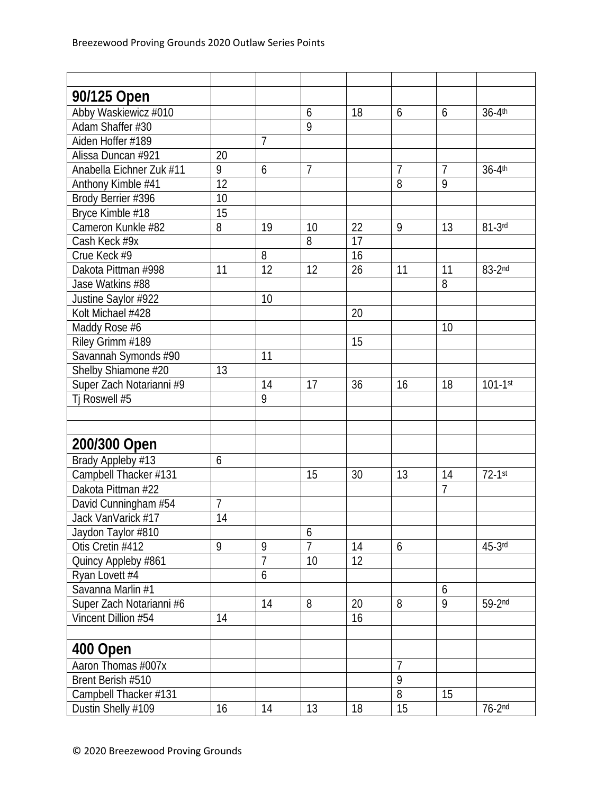| 90/125 Open              |    |                 |                |    |                |                |              |
|--------------------------|----|-----------------|----------------|----|----------------|----------------|--------------|
| Abby Waskiewicz #010     |    |                 | 6              | 18 | 6              | 6              | 36-4th       |
| Adam Shaffer #30         |    |                 | 9              |    |                |                |              |
| Aiden Hoffer #189        |    | $\overline{7}$  |                |    |                |                |              |
| Alissa Duncan #921       | 20 |                 |                |    |                |                |              |
| Anabella Eichner Zuk #11 | 9  | 6               | $\overline{7}$ |    | $\overline{1}$ | $\overline{7}$ | 36-4th       |
| Anthony Kimble #41       | 12 |                 |                |    | 8              | 9              |              |
| Brody Berrier #396       | 10 |                 |                |    |                |                |              |
| Bryce Kimble #18         | 15 |                 |                |    |                |                |              |
| Cameron Kunkle #82       | 8  | 19              | 10             | 22 | 9              | 13             | $81-3$ rd    |
| Cash Keck #9x            |    |                 | 8              | 17 |                |                |              |
| Crue Keck #9             |    | 8               |                | 16 |                |                |              |
| Dakota Pittman #998      | 11 | $\overline{12}$ | 12             | 26 | 11             | 11             | 83-2nd       |
| Jase Watkins #88         |    |                 |                |    |                | 8              |              |
| Justine Saylor #922      |    | 10              |                |    |                |                |              |
| Kolt Michael #428        |    |                 |                | 20 |                |                |              |
| Maddy Rose #6            |    |                 |                |    |                | 10             |              |
| Riley Grimm #189         |    |                 |                | 15 |                |                |              |
| Savannah Symonds #90     |    | 11              |                |    |                |                |              |
| Shelby Shiamone #20      | 13 |                 |                |    |                |                |              |
| Super Zach Notarianni #9 |    | 14              | 17             | 36 | 16             | 18             | $101 - 1$ st |
| Tj Roswell #5            |    | 9               |                |    |                |                |              |
|                          |    |                 |                |    |                |                |              |
|                          |    |                 |                |    |                |                |              |
| 200/300 Open             |    |                 |                |    |                |                |              |
| Brady Appleby #13        | 6  |                 |                |    |                |                |              |
| Campbell Thacker #131    |    |                 | 15             | 30 | 13             | 14             | $72-1$ st    |
| Dakota Pittman #22       |    |                 |                |    |                | $\overline{7}$ |              |
| David Cunningham #54     | 7  |                 |                |    |                |                |              |
| Jack VanVarick #17       | 14 |                 |                |    |                |                |              |
| Jaydon Taylor #810       |    |                 | 6              |    |                |                |              |
| Otis Cretin #412         | 9  | 9               | $\overline{7}$ | 14 | 6              |                | $45-3$ rd    |
| Quincy Appleby #861      |    | $\overline{7}$  | 10             | 12 |                |                |              |
| Ryan Lovett #4           |    | 6               |                |    |                |                |              |
| Savanna Marlin #1        |    |                 |                |    |                | 6              |              |
| Super Zach Notarianni #6 |    | 14              | 8              | 20 | 8              | 9              | $59-2nd$     |
| Vincent Dillion #54      | 14 |                 |                | 16 |                |                |              |
|                          |    |                 |                |    |                |                |              |
| 400 Open                 |    |                 |                |    |                |                |              |
| Aaron Thomas #007x       |    |                 |                |    | $\overline{7}$ |                |              |
| Brent Berish #510        |    |                 |                |    | $\overline{9}$ |                |              |
| Campbell Thacker #131    |    |                 |                |    | $\overline{8}$ | 15             |              |
| Dustin Shelly #109       | 16 | 14              | 13             | 18 | 15             |                | $76-2nd$     |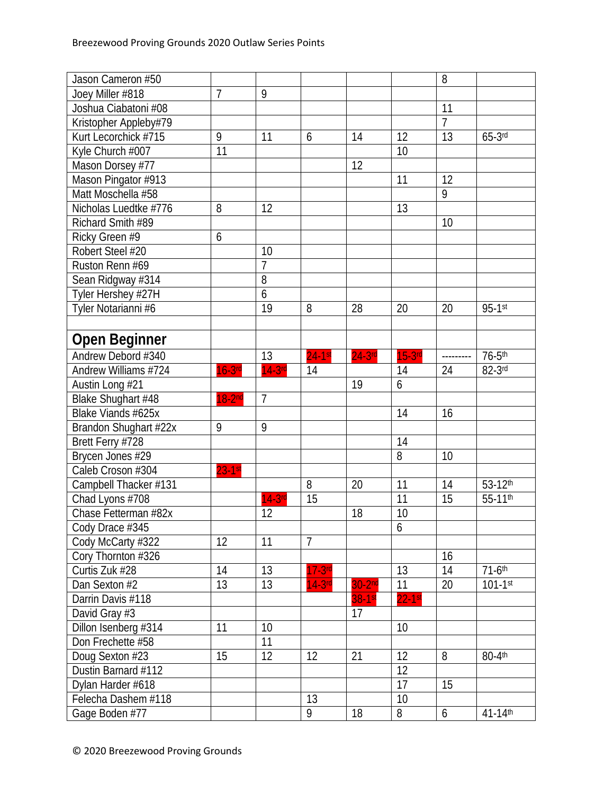| Jason Cameron #50     |           |                |                |           |                 | 8              |                      |
|-----------------------|-----------|----------------|----------------|-----------|-----------------|----------------|----------------------|
| Joey Miller #818      | 7         | 9              |                |           |                 |                |                      |
| Joshua Ciabatoni #08  |           |                |                |           |                 | 11             |                      |
| Kristopher Appleby#79 |           |                |                |           |                 | $\overline{7}$ |                      |
| Kurt Lecorchick #715  | 9         | 11             | 6              | 14        | 12              | 13             | $65-3$ rd            |
| Kyle Church #007      | 11        |                |                |           | 10              |                |                      |
| Mason Dorsey #77      |           |                |                | 12        |                 |                |                      |
| Mason Pingator #913   |           |                |                |           | 11              | 12             |                      |
| Matt Moschella #58    |           |                |                |           |                 | 9              |                      |
| Nicholas Luedtke #776 | 8         | 12             |                |           | 13              |                |                      |
| Richard Smith #89     |           |                |                |           |                 | 10             |                      |
| Ricky Green #9        | 6         |                |                |           |                 |                |                      |
| Robert Steel #20      |           | 10             |                |           |                 |                |                      |
| Ruston Renn #69       |           | $\overline{1}$ |                |           |                 |                |                      |
| Sean Ridgway #314     |           | 8              |                |           |                 |                |                      |
| Tyler Hershey #27H    |           | 6              |                |           |                 |                |                      |
| Tyler Notarianni #6   |           | 19             | 8              | 28        | 20              | 20             | $95 - 1$ st          |
|                       |           |                |                |           |                 |                |                      |
| <b>Open Beginner</b>  |           |                |                |           |                 |                |                      |
| Andrew Debord #340    |           | 13             | $24 - 1$ st    | $24-3$ rd | $15-3$ rd       | ---------      | $76-5$ th            |
| Andrew Williams #724  | $16-3$ rd | $14-3rd$       | 14             |           | 14              | 24             | 82-3rd               |
| Austin Long #21       |           |                |                | 19        | 6               |                |                      |
| Blake Shughart #48    | $18-2nd$  | $\overline{7}$ |                |           |                 |                |                      |
| Blake Viands #625x    |           |                |                |           | 14              | 16             |                      |
| Brandon Shughart #22x | 9         | 9              |                |           |                 |                |                      |
| Brett Ferry #728      |           |                |                |           | 14              |                |                      |
| Brycen Jones #29      |           |                |                |           | 8               | 10             |                      |
| Caleb Croson #304     | $23-1st$  |                |                |           |                 |                |                      |
| Campbell Thacker #131 |           |                | 8              | 20        | 11              | 14             | 53-12th              |
| Chad Lyons #708       |           | $14-3rc$       | 15             |           | 11              | 15             | 55-11th              |
| Chase Fetterman #82x  |           | 12             |                | 18        | 10              |                |                      |
| Cody Drace #345       |           |                |                |           | 6               |                |                      |
| Cody McCarty #322     | 12        | 11             | $\overline{7}$ |           |                 |                |                      |
| Cory Thornton #326    |           |                |                |           |                 | 16             |                      |
| Curtis Zuk #28        | 14        | 13             | $17-3rd$       |           | $\overline{13}$ | 14             | $71-6$ <sup>th</sup> |
| Dan Sexton #2         | 13        | 13             | $14-3rd$       | $30-2n$   | 11              | 20             | $101 - 1$ st         |
| Darrin Davis #118     |           |                |                | 38-1st    | $22-1$ st       |                |                      |
| David Gray #3         |           |                |                | 17        |                 |                |                      |
| Dillon Isenberg #314  | 11        | 10             |                |           | 10              |                |                      |
| Don Frechette #58     |           | 11             |                |           |                 |                |                      |
| Doug Sexton #23       | 15        | 12             | 12             | 21        | 12              | 8              | 80-4th               |
| Dustin Barnard #112   |           |                |                |           | 12              |                |                      |
| Dylan Harder #618     |           |                |                |           | 17              | 15             |                      |
| Felecha Dashem #118   |           |                | 13             |           | 10              |                |                      |
| Gage Boden #77        |           |                | 9              | 18        | 8               | 6              | 41-14th              |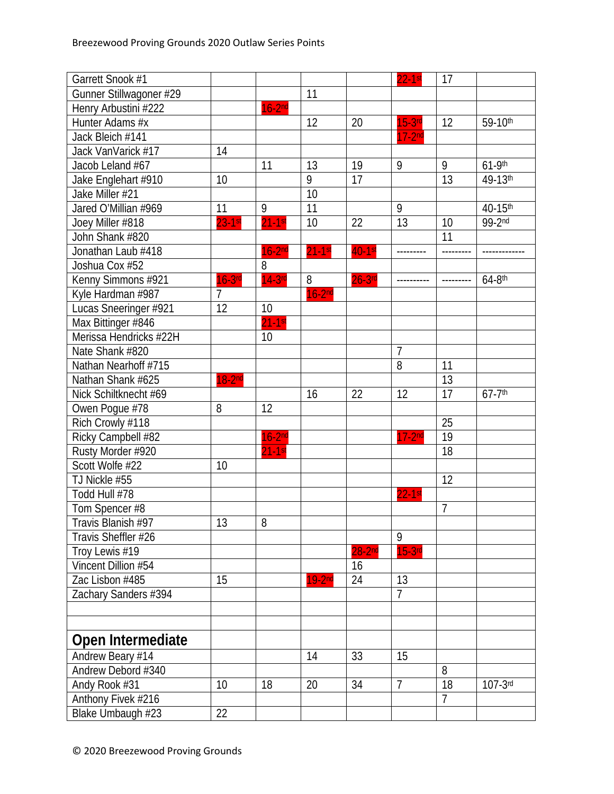| Garrett Snook #1        |                |           |           |            | $22 - 1$ st    | 17             |                        |
|-------------------------|----------------|-----------|-----------|------------|----------------|----------------|------------------------|
| Gunner Stillwagoner #29 |                |           | 11        |            |                |                |                        |
| Henry Arbustini #222    |                | $16-2nd$  |           |            |                |                |                        |
| Hunter Adams #x         |                |           | 12        | 20         | $15-3$ rd      | 12             | 59-10th                |
| Jack Bleich #141        |                |           |           |            | $17-2nd$       |                |                        |
| Jack VanVarick #17      | 14             |           |           |            |                |                |                        |
| Jacob Leland #67        |                | 11        | 13        | 19         | 9              | 9              | $61-9$ th              |
| Jake Englehart #910     | 10             |           | 9         | 17         |                | 13             | 49-13th                |
| Jake Miller #21         |                |           | 10        |            |                |                |                        |
| Jared O'Millian #969    | 11             | 9         | 11        |            | 9              |                | 40-15th                |
| Joey Miller #818        | $23-1$ st      | $21-1$ st | 10        | 22         | 13             | 10             | 99-2nd                 |
| John Shank #820         |                |           |           |            |                | 11             |                        |
| Jonathan Laub #418      |                | $16-2nd$  | $21-1$ st | $40-1$ st  |                |                |                        |
| Joshua Cox #52          |                | 8         |           |            |                |                |                        |
| Kenny Simmons #921      | $16-3$ rd      | $14-3$ rd | 8         | $26-3$ rd  |                |                | $64-8$ th              |
| Kyle Hardman #987       | $\overline{7}$ |           | $16-2nd$  |            |                |                |                        |
| Lucas Sneeringer #921   | 12             | 10        |           |            |                |                |                        |
| Max Bittinger #846      |                | $21-1$ st |           |            |                |                |                        |
| Merissa Hendricks #22H  |                | 10        |           |            |                |                |                        |
| Nate Shank #820         |                |           |           |            | $\overline{7}$ |                |                        |
| Nathan Nearhoff #715    |                |           |           |            | $\overline{8}$ | 11             |                        |
| Nathan Shank #625       | $18-2nd$       |           |           |            |                | 13             |                        |
| Nick Schiltknecht #69   |                |           | 16        | 22         | 12             | 17             | $67 - 7$ <sup>th</sup> |
| Owen Pogue #78          | 8              | 12        |           |            |                |                |                        |
| Rich Crowly #118        |                |           |           |            |                | 25             |                        |
| Ricky Campbell #82      |                | $16-2nd$  |           |            | $17-2nd$       | 19             |                        |
| Rusty Morder #920       |                | $21-1$ st |           |            |                | 18             |                        |
| Scott Wolfe #22         | 10             |           |           |            |                |                |                        |
| TJ Nickle #55           |                |           |           |            |                | 12             |                        |
| Todd Hull #78           |                |           |           |            | $22 - 1$ st    |                |                        |
| Tom Spencer #8          |                |           |           |            |                | $\overline{1}$ |                        |
| Travis Blanish #97      | 13             | 8         |           |            |                |                |                        |
| Travis Sheffler #26     |                |           |           |            | 9              |                |                        |
| Troy Lewis #19          |                |           |           | $28 - 2nd$ | $15-3$ rd      |                |                        |
| Vincent Dillion #54     |                |           |           | 16         |                |                |                        |
| Zac Lisbon #485         | 15             |           | $19-2nd$  | 24         | 13             |                |                        |
| Zachary Sanders #394    |                |           |           |            | $\overline{7}$ |                |                        |
|                         |                |           |           |            |                |                |                        |
|                         |                |           |           |            |                |                |                        |
| Open Intermediate       |                |           |           |            |                |                |                        |
| Andrew Beary #14        |                |           | 14        | 33         | 15             |                |                        |
| Andrew Debord #340      |                |           |           |            |                | 8              |                        |
| Andy Rook #31           | 10             | 18        | 20        | 34         | $\overline{7}$ | 18             | $107-3$ rd             |
| Anthony Fivek #216      |                |           |           |            |                | $\overline{7}$ |                        |
| Blake Umbaugh #23       | 22             |           |           |            |                |                |                        |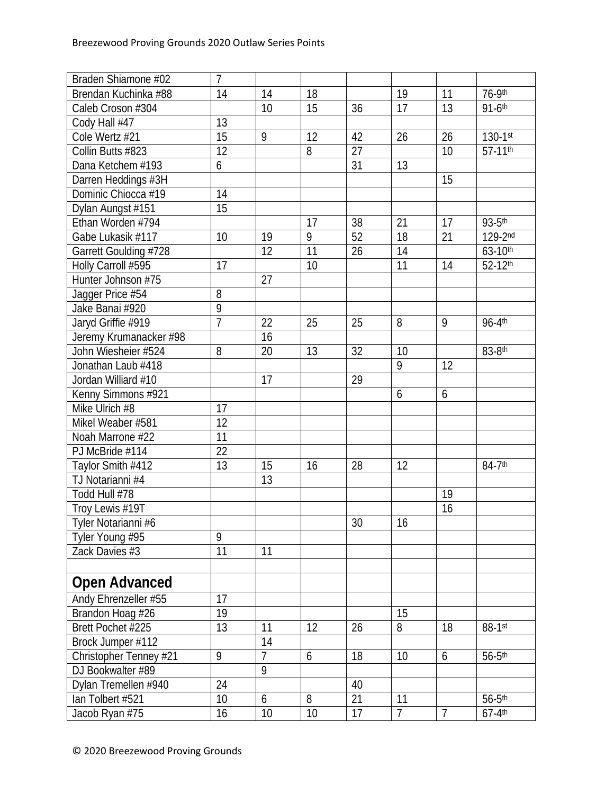| Braden Shiamone #02    | $\overline{1}$ |                 |    |    |                |                |              |
|------------------------|----------------|-----------------|----|----|----------------|----------------|--------------|
| Brendan Kuchinka #88   | 14             | 14              | 18 |    | 19             | 11             | 76-9th       |
| Caleb Croson #304      |                | 10              | 15 | 36 | 17             | 13             | $91 - 6$ th  |
| Cody Hall #47          | 13             |                 |    |    |                |                |              |
| Cole Wertz #21         | 15             | 9               | 12 | 42 | 26             | 26             | $130 - 1$ st |
| Collin Butts #823      | 12             |                 | 8  | 27 |                | 10             | 57-11th      |
| Dana Ketchem #193      | 6              |                 |    | 31 | 13             |                |              |
| Darren Heddings #3H    |                |                 |    |    |                | 15             |              |
| Dominic Chiocca #19    | 14             |                 |    |    |                |                |              |
| Dylan Aungst #151      | 15             |                 |    |    |                |                |              |
| Ethan Worden #794      |                |                 | 17 | 38 | 21             | 17             | 93-5th       |
| Gabe Lukasik #117      | 10             | 19              | 9  | 52 | 18             | 21             | 129-2nd      |
| Garrett Goulding #728  |                | 12              | 11 | 26 | 14             |                | 63-10th      |
| Holly Carroll #595     | 17             |                 | 10 |    | 11             | 14             | 52-12th      |
| Hunter Johnson #75     |                | 27              |    |    |                |                |              |
| Jagger Price #54       | 8              |                 |    |    |                |                |              |
| Jake Banai #920        | $\overline{9}$ |                 |    |    |                |                |              |
| Jaryd Griffie #919     | $\overline{7}$ | $\overline{22}$ | 25 | 25 | 8              | 9              | 96-4th       |
| Jeremy Krumanacker #98 |                | 16              |    |    |                |                |              |
| John Wiesheier #524    | 8              | $\overline{20}$ | 13 | 32 | 10             |                | 83-8th       |
| Jonathan Laub #418     |                |                 |    |    | $\overline{9}$ | 12             |              |
| Jordan Williard #10    |                | 17              |    | 29 |                |                |              |
| Kenny Simmons #921     |                |                 |    |    | 6              | 6              |              |
| Mike Ulrich #8         | 17             |                 |    |    |                |                |              |
| Mikel Weaber #581      | 12             |                 |    |    |                |                |              |
| Noah Marrone #22       | 11             |                 |    |    |                |                |              |
| PJ McBride #114        | 22             |                 |    |    |                |                |              |
| Taylor Smith #412      | 13             | 15              | 16 | 28 | 12             |                | 84-7th       |
| TJ Notarianni #4       |                | 13              |    |    |                |                |              |
| Todd Hull #78          |                |                 |    |    |                | 19             |              |
| Troy Lewis #19T        |                |                 |    |    |                | 16             |              |
| Tyler Notarianni #6    |                |                 |    | 30 | 16             |                |              |
| Tyler Young #95        | 9              |                 |    |    |                |                |              |
| Zack Davies #3         | 11             | 11              |    |    |                |                |              |
|                        |                |                 |    |    |                |                |              |
| <b>Open Advanced</b>   |                |                 |    |    |                |                |              |
| Andy Ehrenzeller #55   | 17             |                 |    |    |                |                |              |
| Brandon Hoag #26       | 19             |                 |    |    | 15             |                |              |
| Brett Pochet #225      | 13             | 11              | 12 | 26 | 8              | 18             | 88-1st       |
| Brock Jumper #112      |                | 14              |    |    |                |                |              |
| Christopher Tenney #21 | 9              | $\overline{1}$  | 6  | 18 | 10             | 6              | $56-5$ th    |
| DJ Bookwalter #89      |                | 9               |    |    |                |                |              |
| Dylan Tremellen #940   | 24             |                 |    | 40 |                |                |              |
| lan Tolbert #521       | 10             | 6               | 8  | 21 | 11             |                | $56-5$ th    |
| Jacob Ryan #75         | 16             | 10              | 10 | 17 | $\overline{1}$ | $\overline{7}$ | $67-4$ th    |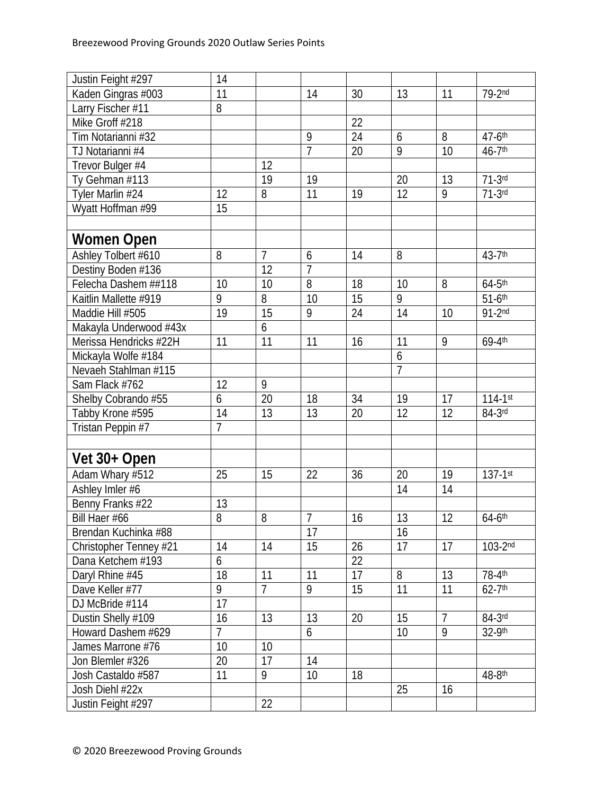| Justin Feight #297     | 14              |                 |                 |    |                |                |                      |
|------------------------|-----------------|-----------------|-----------------|----|----------------|----------------|----------------------|
| Kaden Gingras #003     | $\overline{11}$ |                 | 14              | 30 | 13             | 11             | $79-2nd$             |
| Larry Fischer #11      | 8               |                 |                 |    |                |                |                      |
| Mike Groff #218        |                 |                 |                 | 22 |                |                |                      |
| Tim Notarianni #32     |                 |                 | 9               | 24 | 6              | 8              | 47-6th               |
| TJ Notarianni #4       |                 |                 | $\overline{7}$  | 20 | 9              | 10             | 46-7th               |
| Trevor Bulger #4       |                 | 12              |                 |    |                |                |                      |
| Ty Gehman #113         |                 | 19              | 19              |    | 20             | 13             | $71-3rd$             |
| Tyler Marlin #24       | 12              | 8               | 11              | 19 | 12             | 9              | $71-3$ rd            |
| Wyatt Hoffman #99      | 15              |                 |                 |    |                |                |                      |
|                        |                 |                 |                 |    |                |                |                      |
| Women Open             |                 |                 |                 |    |                |                |                      |
| Ashley Tolbert #610    | 8               | $\overline{7}$  | 6               | 14 | 8              |                | 43-7th               |
| Destiny Boden #136     |                 | $\overline{12}$ | $\overline{7}$  |    |                |                |                      |
| Felecha Dashem ##118   | 10              | 10              | 8               | 18 | 10             | 8              | $64-5$ th            |
| Kaitlin Mallette #919  | 9               | 8               | $\overline{10}$ | 15 | $\overline{9}$ |                | $51-6$ th            |
| Maddie Hill #505       | 19              | 15              | 9               | 24 | 14             | 10             | $91-2nd$             |
| Makayla Underwood #43x |                 | 6               |                 |    |                |                |                      |
| Merissa Hendricks #22H | 11              | 11              | 11              | 16 | 11             | 9              | 69-4th               |
| Mickayla Wolfe #184    |                 |                 |                 |    | 6              |                |                      |
| Nevaeh Stahlman #115   |                 |                 |                 |    | $\overline{7}$ |                |                      |
| Sam Flack #762         | 12              | 9               |                 |    |                |                |                      |
| Shelby Cobrando #55    | 6               | 20              | 18              | 34 | 19             | 17             | $114 - 1$ st         |
| Tabby Krone #595       | 14              | 13              | 13              | 20 | 12             | 12             | $84-3$ rd            |
| Tristan Peppin #7      | $\overline{7}$  |                 |                 |    |                |                |                      |
|                        |                 |                 |                 |    |                |                |                      |
| Vet 30+ Open           |                 |                 |                 |    |                |                |                      |
| Adam Whary #512        | 25              | 15              | 22              | 36 | 20             | 19             | $137 - 1$ st         |
| Ashley Imler #6        |                 |                 |                 |    | 14             | 14             |                      |
| Benny Franks #22       | 13              |                 |                 |    |                |                |                      |
| Bill Haer #66          | $\overline{8}$  | 8               | 7               | 16 | 13             | 12             | $64-6$ <sup>th</sup> |
| Brendan Kuchinka #88   |                 |                 | 17              |    | 16             |                |                      |
| Christopher Tenney #21 | 14              | 14              | 15              | 26 | 17             | 17             | $103-2nd$            |
| Dana Ketchem #193      | 6               |                 |                 | 22 |                |                |                      |
| Daryl Rhine #45        | 18              | 11              | 11              | 17 | 8              | 13             | 78-4th               |
| Dave Keller #77        | 9               | $\overline{1}$  | 9               | 15 | 11             | 11             | $62-7$ <sup>th</sup> |
| DJ McBride #114        | 17              |                 |                 |    |                |                |                      |
| Dustin Shelly #109     | 16              | 13              | 13              | 20 | 15             | $\overline{7}$ | $84-3$ rd            |
| Howard Dashem #629     | $\overline{7}$  |                 | 6               |    | 10             | 9              | 32-9th               |
| James Marrone #76      | 10              | 10              |                 |    |                |                |                      |
| Jon Blemler #326       | 20              | 17              | 14              |    |                |                |                      |
| Josh Castaldo #587     | 11              | 9               | 10              | 18 |                |                | 48-8th               |
| Josh Diehl #22x        |                 |                 |                 |    | 25             | 16             |                      |
| Justin Feight #297     |                 | 22              |                 |    |                |                |                      |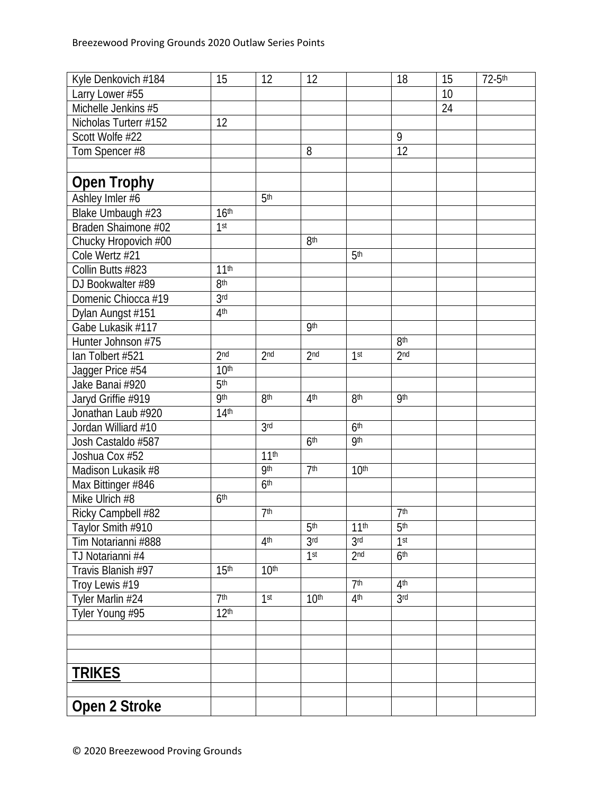| Kyle Denkovich #184   | 15                           | 12               | 12               |                  | 18              | 15 | 72-5th |
|-----------------------|------------------------------|------------------|------------------|------------------|-----------------|----|--------|
| Larry Lower #55       |                              |                  |                  |                  |                 | 10 |        |
| Michelle Jenkins #5   |                              |                  |                  |                  |                 | 24 |        |
| Nicholas Turterr #152 | 12                           |                  |                  |                  |                 |    |        |
| Scott Wolfe #22       |                              |                  |                  |                  | 9               |    |        |
| Tom Spencer #8        |                              |                  | 8                |                  | $\overline{12}$ |    |        |
|                       |                              |                  |                  |                  |                 |    |        |
| <b>Open Trophy</b>    |                              |                  |                  |                  |                 |    |        |
| Ashley Imler #6       |                              | 5 <sup>th</sup>  |                  |                  |                 |    |        |
| Blake Umbaugh #23     | 16 <sup>th</sup>             |                  |                  |                  |                 |    |        |
| Braden Shaimone #02   | 1 <sup>st</sup>              |                  |                  |                  |                 |    |        |
| Chucky Hropovich #00  |                              |                  | 8 <sup>th</sup>  |                  |                 |    |        |
| Cole Wertz #21        |                              |                  |                  | 5 <sup>th</sup>  |                 |    |        |
| Collin Butts #823     | 11 <sup>th</sup>             |                  |                  |                  |                 |    |        |
| DJ Bookwalter #89     | 8 <sup>th</sup>              |                  |                  |                  |                 |    |        |
| Domenic Chiocca #19   | 3 <sub>rd</sub>              |                  |                  |                  |                 |    |        |
| Dylan Aungst #151     | 4 <sup>th</sup>              |                  |                  |                  |                 |    |        |
| Gabe Lukasik #117     |                              |                  | <b>9th</b>       |                  |                 |    |        |
| Hunter Johnson #75    |                              |                  |                  |                  | 8 <sup>th</sup> |    |        |
| lan Tolbert #521      | 2 <sub>nd</sub>              | 2 <sub>nd</sub>  | 2 <sub>nd</sub>  | 1 <sup>st</sup>  | 2 <sub>nd</sub> |    |        |
| Jagger Price #54      | 10 <sup>th</sup>             |                  |                  |                  |                 |    |        |
| Jake Banai #920       | $\overline{5}$ <sup>th</sup> |                  |                  |                  |                 |    |        |
| Jaryd Griffie #919    | <b>9th</b>                   | 8 <sup>th</sup>  | 4 <sup>th</sup>  | 8 <sup>th</sup>  | <b>9th</b>      |    |        |
| Jonathan Laub #920    | 14 <sup>th</sup>             |                  |                  |                  |                 |    |        |
| Jordan Williard #10   |                              | 3 <sub>rd</sub>  |                  | 6 <sup>th</sup>  |                 |    |        |
| Josh Castaldo #587    |                              |                  | 6 <sup>th</sup>  | <b>9th</b>       |                 |    |        |
| Joshua Cox #52        |                              | 11 <sup>th</sup> |                  |                  |                 |    |        |
| Madison Lukasik #8    |                              | <b>9th</b>       | 7 <sup>th</sup>  | 10 <sup>th</sup> |                 |    |        |
| Max Bittinger #846    |                              | 6 <sup>th</sup>  |                  |                  |                 |    |        |
| Mike Ulrich #8        | 6 <sup>th</sup>              |                  |                  |                  |                 |    |        |
| Ricky Campbell #82    |                              | 7 <sup>th</sup>  |                  |                  | 7 <sup>th</sup> |    |        |
| Taylor Smith #910     |                              |                  | 5 <sup>th</sup>  | 11 <sup>th</sup> | 5 <sup>th</sup> |    |        |
| Tim Notarianni #888   |                              | 4 <sup>th</sup>  | 3 <sub>rd</sub>  | 3 <sub>rd</sub>  | 1 <sup>st</sup> |    |        |
| TJ Notarianni #4      |                              |                  | 1 <sup>st</sup>  | 2 <sub>nd</sub>  | 6 <sup>th</sup> |    |        |
| Travis Blanish #97    | 15 <sup>th</sup>             | 10 <sup>th</sup> |                  |                  |                 |    |        |
| Troy Lewis #19        |                              |                  |                  | 7 <sup>th</sup>  | 4 <sup>th</sup> |    |        |
| Tyler Marlin #24      | 7 <sup>th</sup>              | 1 <sup>st</sup>  | 10 <sup>th</sup> | 4 <sup>th</sup>  | 3 <sub>rd</sub> |    |        |
| Tyler Young #95       | 12 <sup>th</sup>             |                  |                  |                  |                 |    |        |
|                       |                              |                  |                  |                  |                 |    |        |
|                       |                              |                  |                  |                  |                 |    |        |
|                       |                              |                  |                  |                  |                 |    |        |
| <b>TRIKES</b>         |                              |                  |                  |                  |                 |    |        |
|                       |                              |                  |                  |                  |                 |    |        |
| Open 2 Stroke         |                              |                  |                  |                  |                 |    |        |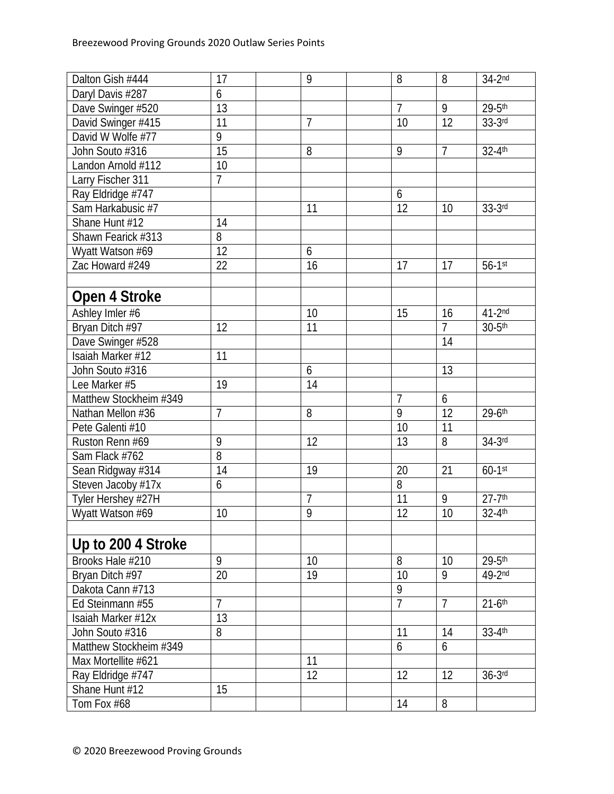| Dalton Gish #444       | 17             | 9              | 8               | 8              | $34-2nd$               |
|------------------------|----------------|----------------|-----------------|----------------|------------------------|
| Daryl Davis #287       | 6              |                |                 |                |                        |
| Dave Swinger #520      | 13             |                | $\overline{7}$  | 9              | $29 - 5$ th            |
| David Swinger #415     | 11             | $\overline{7}$ | 10              | 12             | $33-3$ rd              |
| David W Wolfe #77      | 9              |                |                 |                |                        |
| John Souto #316        | 15             | 8              | 9               | $\overline{1}$ | 32-4th                 |
| Landon Arnold #112     | 10             |                |                 |                |                        |
| Larry Fischer 311      | $\overline{7}$ |                |                 |                |                        |
| Ray Eldridge #747      |                |                | 6               |                |                        |
| Sam Harkabusic #7      |                | 11             | 12              | 10             | $33-3$ rd              |
| Shane Hunt #12         | 14             |                |                 |                |                        |
| Shawn Fearick #313     | 8              |                |                 |                |                        |
| Wyatt Watson #69       | 12             | 6              |                 |                |                        |
| Zac Howard #249        | 22             | 16             | 17              | 17             | $56-1$ st              |
|                        |                |                |                 |                |                        |
| Open 4 Stroke          |                |                |                 |                |                        |
| Ashley Imler #6        |                | 10             | 15              | 16             | $41-2nd$               |
| Bryan Ditch #97        | 12             | 11             |                 | $\overline{7}$ | $30-5$ th              |
| Dave Swinger #528      |                |                |                 | 14             |                        |
| Isaiah Marker #12      | 11             |                |                 |                |                        |
| John Souto #316        |                | 6              |                 | 13             |                        |
| Lee Marker #5          | 19             | 14             |                 |                |                        |
| Matthew Stockheim #349 |                |                | $\overline{7}$  | 6              |                        |
| Nathan Mellon #36      | 7              | 8              | 9               | 12             | 29-6th                 |
| Pete Galenti #10       |                |                | 10              | 11             |                        |
| Ruston Renn #69        | 9              | 12             | 13              | 8              | $34-3$ rd              |
| Sam Flack #762         | 8              |                |                 |                |                        |
| Sean Ridgway #314      | 14             | 19             | 20              | 21             | $60-1$ st              |
| Steven Jacoby #17x     | 6              |                | $\overline{8}$  |                |                        |
| Tyler Hershey #27H     |                | $\overline{1}$ | 11              | 9              | $27 - 7$ <sup>th</sup> |
| Wyatt Watson #69       | 10             | $\overline{9}$ | $\overline{12}$ | 10             | $32 - 4$ <sup>th</sup> |
|                        |                |                |                 |                |                        |
| Up to 200 4 Stroke     |                |                |                 |                |                        |
| Brooks Hale #210       | 9              | 10             | 8               | 10             | 29-5th                 |
| Bryan Ditch #97        | 20             | 19             | 10              | 9              | 49-2nd                 |
| Dakota Cann #713       |                |                | 9               |                |                        |
| Ed Steinmann #55       | $\overline{7}$ |                | $\overline{7}$  | $\overline{7}$ | $21-6$ <sup>th</sup>   |
| Isaiah Marker #12x     | 13             |                |                 |                |                        |
| John Souto #316        | 8              |                | 11              | 14             | $33 - 4$ th            |
| Matthew Stockheim #349 |                |                | 6               | 6              |                        |
| Max Mortellite #621    |                | 11             |                 |                |                        |
| Ray Eldridge #747      |                | 12             | 12              | 12             | $36-3$ rd              |
| Shane Hunt #12         | 15             |                |                 |                |                        |
| Tom Fox #68            |                |                | 14              | 8              |                        |